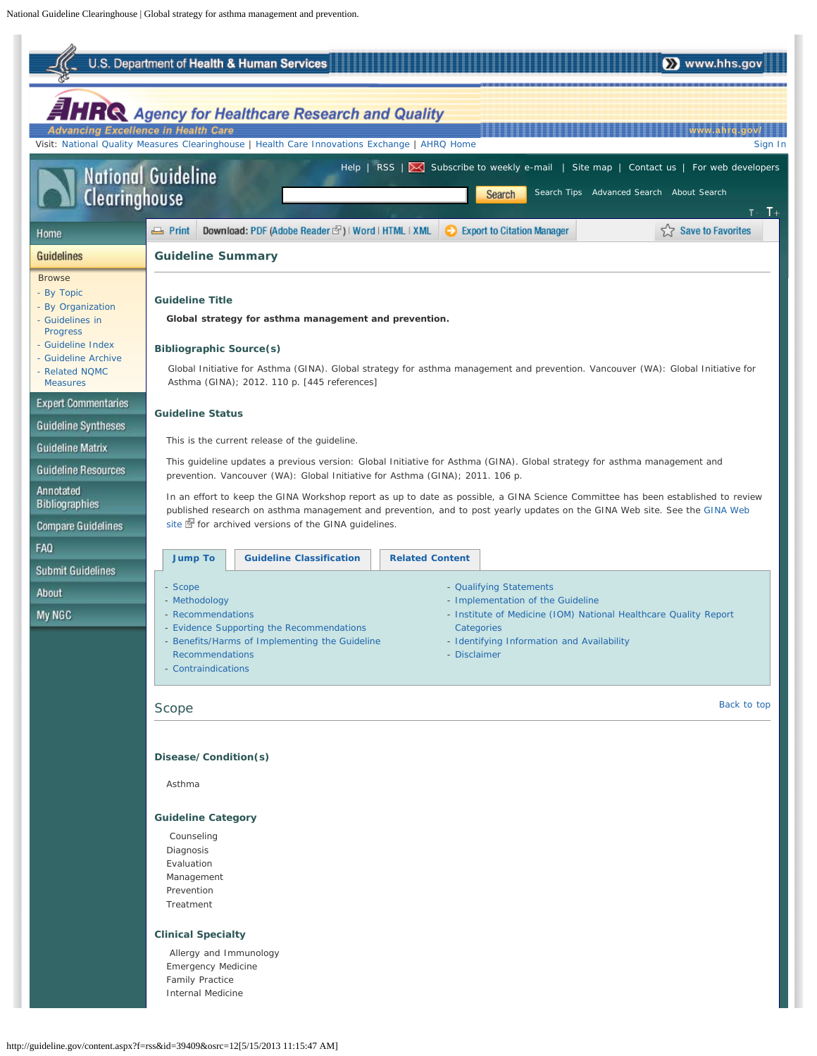<span id="page-0-2"></span><span id="page-0-1"></span><span id="page-0-0"></span>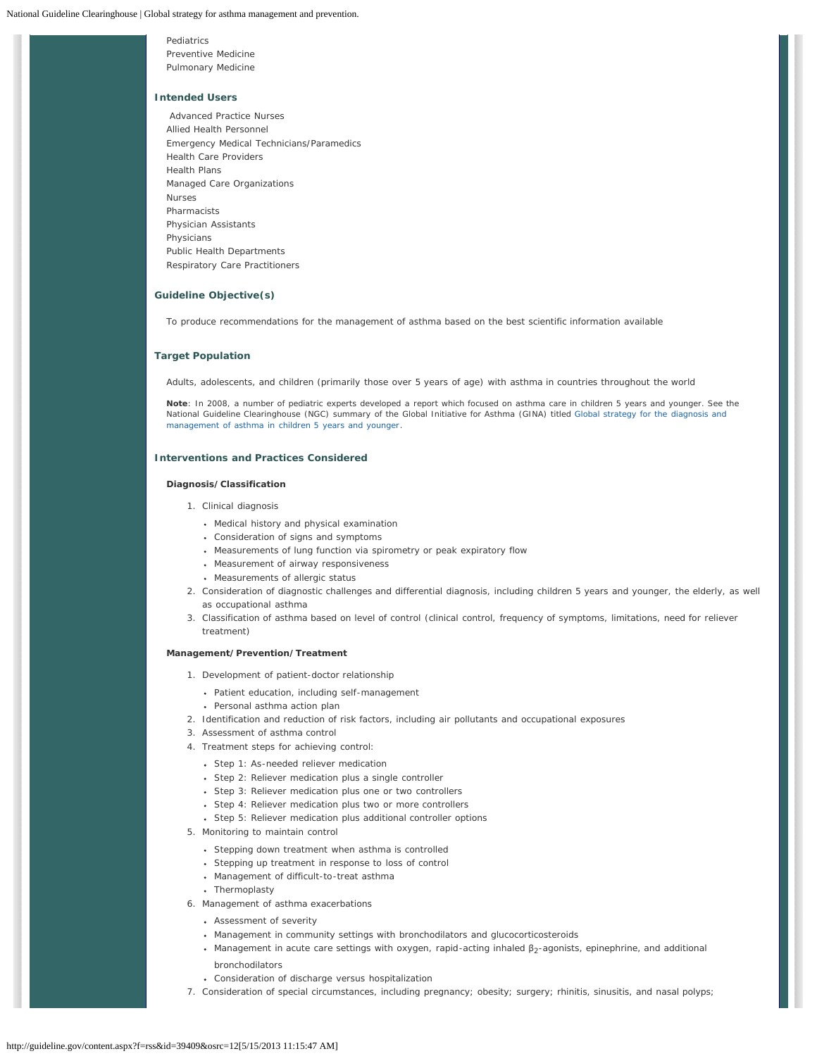Pediatrics Preventive Medicine Pulmonary Medicine

### **Intended Users**

Advanced Practice Nurses Allied Health Personnel Emergency Medical Technicians/Paramedics Health Care Providers Health Plans Managed Care Organizations Nurses Pharmacists Physician Assistants Physicians Public Health Departments Respiratory Care Practitioners

# **Guideline Objective(s)**

To produce recommendations for the management of asthma based on the best scientific information available

### **Target Population**

Adults, adolescents, and children (primarily those over 5 years of age) with asthma in countries throughout the world

**Note**: In 2008, a number of pediatric experts developed a report which focused on asthma care in children 5 years and younger. See the National Guideline Clearinghouse (NGC) summary of the Global Initiative for Asthma (GINA) titled [Global strategy for the diagnosis and](http://guideline.gov/content.aspx?id=25315) [management of asthma in children 5 years and younger.](http://guideline.gov/content.aspx?id=25315)

# **Interventions and Practices Considered**

### **Diagnosis/Classification**

- 1. Clinical diagnosis
	- Medical history and physical examination
	- Consideration of signs and symptoms
	- Measurements of lung function via spirometry or peak expiratory flow
	- Measurement of airway responsiveness
	- Measurements of allergic status
- 2. Consideration of diagnostic challenges and differential diagnosis, including children 5 years and younger, the elderly, as well as occupational asthma
- 3. Classification of asthma based on level of control (clinical control, frequency of symptoms, limitations, need for reliever treatment)

## **Management/Prevention/Treatment**

- 1. Development of patient-doctor relationship
	- Patient education, including self-management
	- Personal asthma action plan
- 2. Identification and reduction of risk factors, including air pollutants and occupational exposures
- 3. Assessment of asthma control
- 4. Treatment steps for achieving control:
	- Step 1: As-needed reliever medication
	- Step 2: Reliever medication plus a single controller
	- Step 3: Reliever medication plus one or two controllers
	- Step 4: Reliever medication plus two or more controllers
	- Step 5: Reliever medication plus additional controller options
- 5. Monitoring to maintain control
	- Stepping down treatment when asthma is controlled
	- Stepping up treatment in response to loss of control
	- Management of difficult-to-treat asthma
	- Thermoplasty
- 6. Management of asthma exacerbations
	- Assessment of severity
	- Management in community settings with bronchodilators and glucocorticosteroids
	- Management in acute care settings with oxygen, rapid-acting inhaled  $β_2$ -agonists, epinephrine, and additional bronchodilators
	- Consideration of discharge versus hospitalization
- 7. Consideration of special circumstances, including pregnancy; obesity; surgery; rhinitis, sinusitis, and nasal polyps;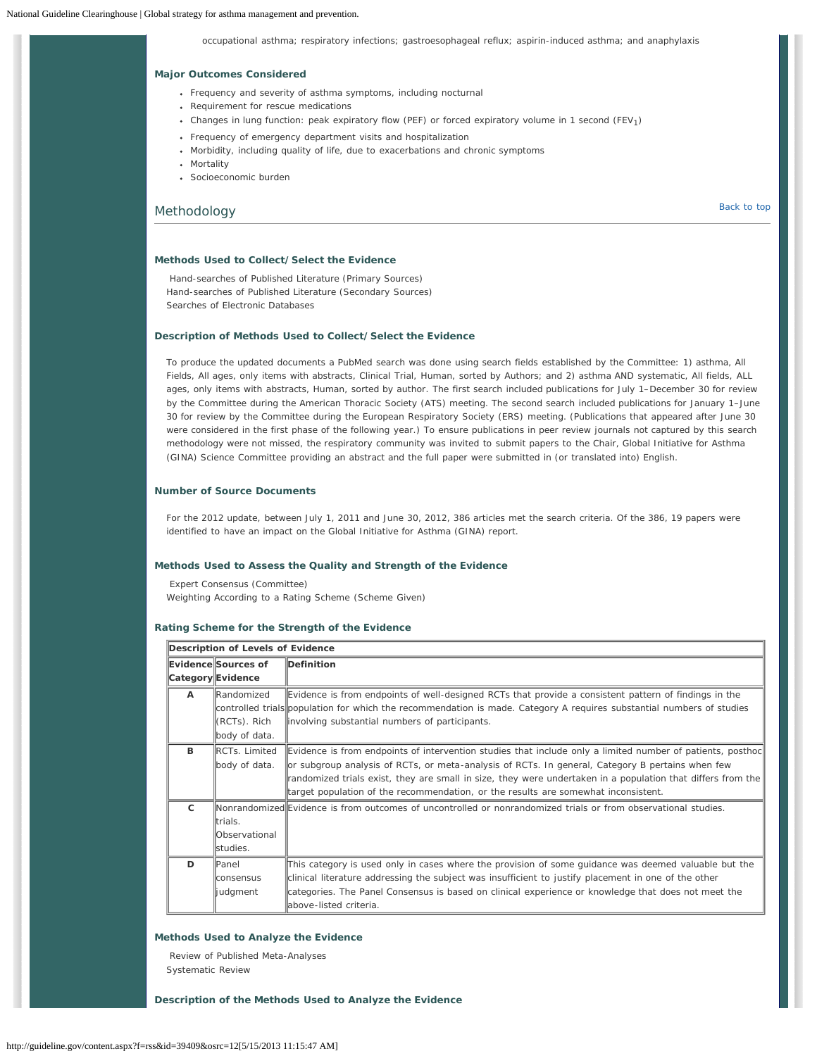occupational asthma; respiratory infections; gastroesophageal reflux; aspirin-induced asthma; and anaphylaxis

# **Major Outcomes Considered**

- Frequency and severity of asthma symptoms, including nocturnal
- Requirement for rescue medications
- Changes in lung function: peak expiratory flow (PEF) or forced expiratory volume in 1 second (FEV<sub>1</sub>)
- Frequency of emergency department visits and hospitalization
- Morbidity, including quality of life, due to exacerbations and chronic symptoms
- Mortality
- Socioeconomic burden

# <span id="page-2-0"></span>Methodology [Back to top](#page-0-1) Back to top Back to top Back to top Back to top Back to top Back to top Back to top Back to top Back to top Back to top Back to top Back to top Back to top Back to top Back to top Back to top Back t

### **Methods Used to Collect/Select the Evidence**

Hand-searches of Published Literature (Primary Sources) Hand-searches of Published Literature (Secondary Sources) Searches of Electronic Databases

# **Description of Methods Used to Collect/Select the Evidence**

To produce the updated documents a PubMed search was done using search fields established by the Committee: 1) asthma, All Fields, All ages, only items with abstracts, Clinical Trial, Human, sorted by Authors; and 2) asthma AND systematic, All fields, ALL ages, only items with abstracts, Human, sorted by author. The first search included publications for July 1–December 30 for review by the Committee during the American Thoracic Society (ATS) meeting. The second search included publications for January 1–June 30 for review by the Committee during the European Respiratory Society (ERS) meeting. (Publications that appeared after June 30 were considered in the first phase of the following year.) To ensure publications in peer review journals not captured by this search methodology were not missed, the respiratory community was invited to submit papers to the Chair, Global Initiative for Asthma (GINA) Science Committee providing an abstract and the full paper were submitted in (or translated into) English.

# **Number of Source Documents**

For the 2012 update, between July 1, 2011 and June 30, 2012, 386 articles met the search criteria. Of the 386, 19 papers were identified to have an impact on the Global Initiative for Asthma (GINA) report.

### **Methods Used to Assess the Quality and Strength of the Evidence**

Expert Consensus (Committee) Weighting According to a Rating Scheme (Scheme Given)

### **Rating Scheme for the Strength of the Evidence**

| Description of Levels of Evidence |                     |                                                                                                                       |  |  |  |
|-----------------------------------|---------------------|-----------------------------------------------------------------------------------------------------------------------|--|--|--|
|                                   | Evidence Sources of | Definition                                                                                                            |  |  |  |
|                                   | Category Evidence   |                                                                                                                       |  |  |  |
| A                                 | <b>Randomized</b>   | Evidence is from endpoints of well-designed RCTs that provide a consistent pattern of findings in the                 |  |  |  |
|                                   |                     | controlled trials population for which the recommendation is made. Category A requires substantial numbers of studies |  |  |  |
|                                   | ((RCTs). Rich       | involving substantial numbers of participants.                                                                        |  |  |  |
|                                   | body of data.       |                                                                                                                       |  |  |  |
| B                                 | RCTs. Limited       | Evidence is from endpoints of intervention studies that include only a limited number of patients, posthoc            |  |  |  |
|                                   | body of data.       | or subgroup analysis of RCTs, or meta-analysis of RCTs. In general, Category B pertains when few                      |  |  |  |
|                                   |                     | randomized trials exist, they are small in size, they were undertaken in a population that differs from the           |  |  |  |
|                                   |                     | target population of the recommendation, or the results are somewhat inconsistent.                                    |  |  |  |
| $\mathsf{C}$                      |                     | Monrandomized Evidence is from outcomes of uncontrolled or nonrandomized trials or from observational studies.        |  |  |  |
|                                   | trials.             |                                                                                                                       |  |  |  |
|                                   | Observational       |                                                                                                                       |  |  |  |
|                                   | studies.            |                                                                                                                       |  |  |  |
| D                                 | Panel               | This category is used only in cases where the provision of some guidance was deemed valuable but the                  |  |  |  |
|                                   | <b>Iconsensus</b>   | clinical literature addressing the subject was insufficient to justify placement in one of the other                  |  |  |  |
|                                   | ljudgment           | categories. The Panel Consensus is based on clinical experience or knowledge that does not meet the                   |  |  |  |
|                                   |                     | above-listed criteria.                                                                                                |  |  |  |

## **Methods Used to Analyze the Evidence**

Review of Published Meta-Analyses Systematic Review

**Description of the Methods Used to Analyze the Evidence**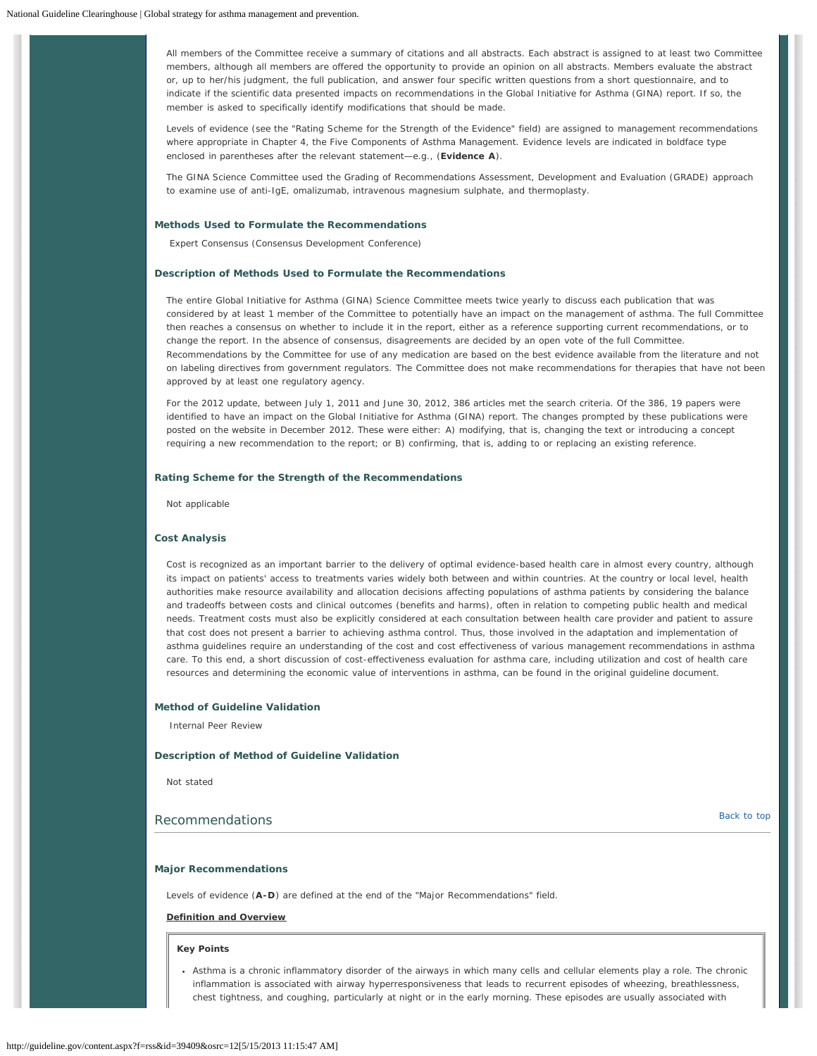All members of the Committee receive a summary of citations and all abstracts. Each abstract is assigned to at least two Committee members, although all members are offered the opportunity to provide an opinion on all abstracts. Members evaluate the abstract or, up to her/his judgment, the full publication, and answer four specific written questions from a short questionnaire, and to indicate if the scientific data presented impacts on recommendations in the Global Initiative for Asthma (GINA) report. If so, the member is asked to specifically identify modifications that should be made.

Levels of evidence (see the "Rating Scheme for the Strength of the Evidence" field) are assigned to management recommendations where appropriate in Chapter 4, the Five Components of Asthma Management. Evidence levels are indicated in boldface type enclosed in parentheses after the relevant statement—e.g., (**Evidence A**).

The GINA Science Committee used the Grading of Recommendations Assessment, Development and Evaluation (GRADE) approach to examine use of anti-IgE, omalizumab, intravenous magnesium sulphate, and thermoplasty.

# **Methods Used to Formulate the Recommendations**

Expert Consensus (Consensus Development Conference)

### **Description of Methods Used to Formulate the Recommendations**

The entire Global Initiative for Asthma (GINA) Science Committee meets twice yearly to discuss each publication that was considered by at least 1 member of the Committee to potentially have an impact on the management of asthma. The full Committee then reaches a consensus on whether to include it in the report, either as a reference supporting current recommendations, or to change the report. In the absence of consensus, disagreements are decided by an open vote of the full Committee. Recommendations by the Committee for use of any medication are based on the best evidence available from the literature and not on labeling directives from government regulators. The Committee does not make recommendations for therapies that have not been approved by at least one regulatory agency.

For the 2012 update, between July 1, 2011 and June 30, 2012, 386 articles met the search criteria. Of the 386, 19 papers were identified to have an impact on the Global Initiative for Asthma (GINA) report. The changes prompted by these publications were posted on the website in December 2012. These were either: A) modifying, that is, changing the text or introducing a concept requiring a new recommendation to the report; or B) confirming, that is, adding to or replacing an existing reference.

### **Rating Scheme for the Strength of the Recommendations**

Not applicable

## **Cost Analysis**

Cost is recognized as an important barrier to the delivery of optimal evidence-based health care in almost every country, although its impact on patients' access to treatments varies widely both between and within countries. At the country or local level, health authorities make resource availability and allocation decisions affecting populations of asthma patients by considering the balance and tradeoffs between costs and clinical outcomes (benefits and harms), often in relation to competing public health and medical needs. Treatment costs must also be explicitly considered at each consultation between health care provider and patient to assure that cost does not present a barrier to achieving asthma control. Thus, those involved in the adaptation and implementation of asthma guidelines require an understanding of the cost and cost effectiveness of various management recommendations in asthma care. To this end, a short discussion of cost-effectiveness evaluation for asthma care, including utilization and cost of health care resources and determining the economic value of interventions in asthma, can be found in the original guideline document.

# **Method of Guideline Validation**

Internal Peer Review

### **Description of Method of Guideline Validation**

Not stated

# <span id="page-3-0"></span>Recommendations and the state of the state of the state of the state of the state of the state of the state of the state of the state of the state of the state of the state of the state of the state of the state of the sta

### **Major Recommendations**

Levels of evidence (**A-D**) are defined at the end of the "Major Recommendations" field.

## **Definition and Overview**

#### **Key Points**

Asthma is a chronic inflammatory disorder of the airways in which many cells and cellular elements play a role. The chronic inflammation is associated with airway hyperresponsiveness that leads to recurrent episodes of wheezing, breathlessness, chest tightness, and coughing, particularly at night or in the early morning. These episodes are usually associated with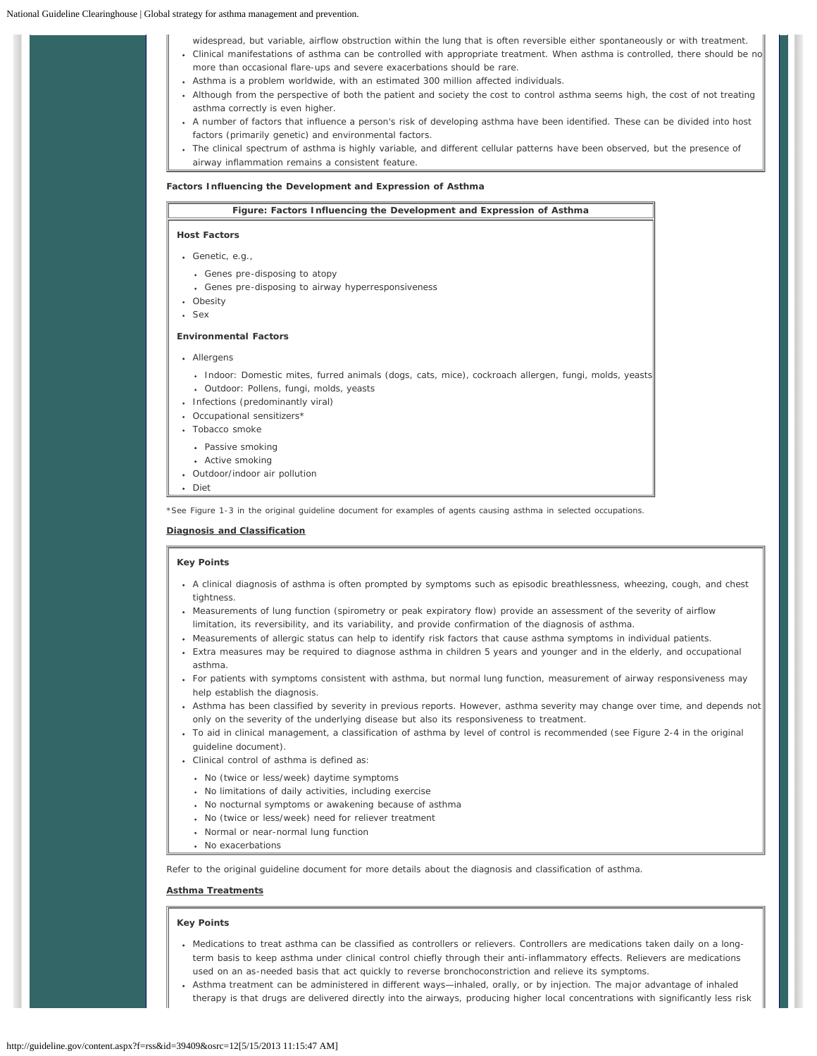| widespread, but variable, airflow obstruction within the lung that is often reversible either spontaneously or with treatment.<br>• Clinical manifestations of asthma can be controlled with appropriate treatment. When asthma is controlled, there should be no<br>more than occasional flare-ups and severe exacerbations should be rare.<br>• Asthma is a problem worldwide, with an estimated 300 million affected individuals.<br>• Although from the perspective of both the patient and society the cost to control asthma seems high, the cost of not treating<br>asthma correctly is even higher.<br>• A number of factors that influence a person's risk of developing asthma have been identified. These can be divided into host<br>factors (primarily genetic) and environmental factors.<br>• The clinical spectrum of asthma is highly variable, and different cellular patterns have been observed, but the presence of<br>airway inflammation remains a consistent feature. |  |
|-----------------------------------------------------------------------------------------------------------------------------------------------------------------------------------------------------------------------------------------------------------------------------------------------------------------------------------------------------------------------------------------------------------------------------------------------------------------------------------------------------------------------------------------------------------------------------------------------------------------------------------------------------------------------------------------------------------------------------------------------------------------------------------------------------------------------------------------------------------------------------------------------------------------------------------------------------------------------------------------------|--|
| Factors Influencing the Development and Expression of Asthma                                                                                                                                                                                                                                                                                                                                                                                                                                                                                                                                                                                                                                                                                                                                                                                                                                                                                                                                  |  |
| Figure: Factors Influencing the Development and Expression of Asthma                                                                                                                                                                                                                                                                                                                                                                                                                                                                                                                                                                                                                                                                                                                                                                                                                                                                                                                          |  |
| <b>Host Factors</b>                                                                                                                                                                                                                                                                                                                                                                                                                                                                                                                                                                                                                                                                                                                                                                                                                                                                                                                                                                           |  |
| $\bullet$ Genetic, e.g.,                                                                                                                                                                                                                                                                                                                                                                                                                                                                                                                                                                                                                                                                                                                                                                                                                                                                                                                                                                      |  |
| • Genes pre-disposing to atopy                                                                                                                                                                                                                                                                                                                                                                                                                                                                                                                                                                                                                                                                                                                                                                                                                                                                                                                                                                |  |
| • Genes pre-disposing to airway hyperresponsiveness                                                                                                                                                                                                                                                                                                                                                                                                                                                                                                                                                                                                                                                                                                                                                                                                                                                                                                                                           |  |
| • Obesity                                                                                                                                                                                                                                                                                                                                                                                                                                                                                                                                                                                                                                                                                                                                                                                                                                                                                                                                                                                     |  |
| · Sex                                                                                                                                                                                                                                                                                                                                                                                                                                                                                                                                                                                                                                                                                                                                                                                                                                                                                                                                                                                         |  |
| <b>Environmental Factors</b>                                                                                                                                                                                                                                                                                                                                                                                                                                                                                                                                                                                                                                                                                                                                                                                                                                                                                                                                                                  |  |
| • Allergens                                                                                                                                                                                                                                                                                                                                                                                                                                                                                                                                                                                                                                                                                                                                                                                                                                                                                                                                                                                   |  |
| · Indoor: Domestic mites, furred animals (dogs, cats, mice), cockroach allergen, fungi, molds, yeasts                                                                                                                                                                                                                                                                                                                                                                                                                                                                                                                                                                                                                                                                                                                                                                                                                                                                                         |  |
| · Outdoor: Pollens, fungi, molds, yeasts                                                                                                                                                                                                                                                                                                                                                                                                                                                                                                                                                                                                                                                                                                                                                                                                                                                                                                                                                      |  |
| • Infections (predominantly viral)                                                                                                                                                                                                                                                                                                                                                                                                                                                                                                                                                                                                                                                                                                                                                                                                                                                                                                                                                            |  |
| • Occupational sensitizers*                                                                                                                                                                                                                                                                                                                                                                                                                                                                                                                                                                                                                                                                                                                                                                                                                                                                                                                                                                   |  |
| • Tobacco smoke                                                                                                                                                                                                                                                                                                                                                                                                                                                                                                                                                                                                                                                                                                                                                                                                                                                                                                                                                                               |  |
| • Passive smoking                                                                                                                                                                                                                                                                                                                                                                                                                                                                                                                                                                                                                                                                                                                                                                                                                                                                                                                                                                             |  |
| • Active smoking                                                                                                                                                                                                                                                                                                                                                                                                                                                                                                                                                                                                                                                                                                                                                                                                                                                                                                                                                                              |  |
| • Outdoor/indoor air pollution<br>Diet<br>$\bullet$                                                                                                                                                                                                                                                                                                                                                                                                                                                                                                                                                                                                                                                                                                                                                                                                                                                                                                                                           |  |
|                                                                                                                                                                                                                                                                                                                                                                                                                                                                                                                                                                                                                                                                                                                                                                                                                                                                                                                                                                                               |  |

\*See Figure 1-3 in the original guideline document for examples of agents causing asthma in selected occupations.

**Diagnosis and Classification**

# **Key Points**

- A clinical diagnosis of asthma is often prompted by symptoms such as episodic breathlessness, wheezing, cough, and chest tightness.
- Measurements of lung function (spirometry or peak expiratory flow) provide an assessment of the severity of airflow limitation, its reversibility, and its variability, and provide confirmation of the diagnosis of asthma.
- Measurements of allergic status can help to identify risk factors that cause asthma symptoms in individual patients.
- Extra measures may be required to diagnose asthma in children 5 years and younger and in the elderly, and occupational asthma.
- For patients with symptoms consistent with asthma, but normal lung function, measurement of airway responsiveness may help establish the diagnosis.
- Asthma has been classified by severity in previous reports. However, asthma severity may change over time, and depends not only on the severity of the underlying disease but also its responsiveness to treatment.
- To aid in clinical management, a classification of asthma by level of control is recommended (see Figure 2-4 in the original guideline document).
- Clinical control of asthma is defined as:
	- No (twice or less/week) daytime symptoms
- No limitations of daily activities, including exercise
- No nocturnal symptoms or awakening because of asthma
- No (twice or less/week) need for reliever treatment
- Normal or near-normal lung function
- No exacerbations

Refer to the original guideline document for more details about the diagnosis and classification of asthma.

# **Asthma Treatments**

# **Key Points**

- Medications to treat asthma can be classified as controllers or relievers. Controllers are medications taken daily on a longterm basis to keep asthma under clinical control chiefly through their anti-inflammatory effects. Relievers are medications used on an as-needed basis that act quickly to reverse bronchoconstriction and relieve its symptoms.
- Asthma treatment can be administered in different ways—inhaled, orally, or by injection. The major advantage of inhaled therapy is that drugs are delivered directly into the airways, producing higher local concentrations with significantly less risk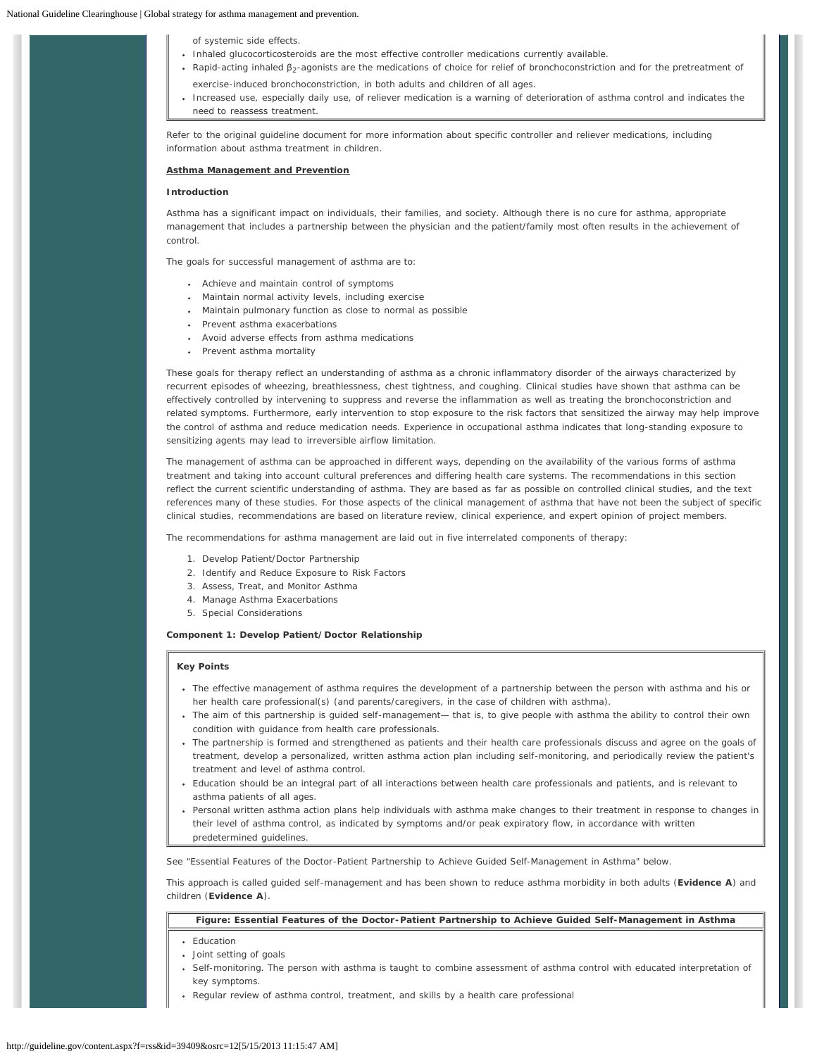of systemic side effects.

- Inhaled glucocorticosteroids are the most effective controller medications currently available.
- Rapid-acting inhaled β<sub>2</sub>-agonists are the medications of choice for relief of bronchoconstriction and for the pretreatment of exercise-induced bronchoconstriction, in both adults and children of all ages.
- Increased use, especially daily use, of reliever medication is a warning of deterioration of asthma control and indicates the need to reassess treatment.

Refer to the original guideline document for more information about specific controller and reliever medications, including information about asthma treatment in children.

### **Asthma Management and Prevention**

# **Introduction**

Asthma has a significant impact on individuals, their families, and society. Although there is no cure for asthma, appropriate management that includes a partnership between the physician and the patient/family most often results in the achievement of control.

The goals for successful management of asthma are to:

- Achieve and maintain control of symptoms
- Maintain normal activity levels, including exercise
- Maintain pulmonary function as close to normal as possible
- Prevent asthma exacerbations
- Avoid adverse effects from asthma medications
- Prevent asthma mortality

These goals for therapy reflect an understanding of asthma as a chronic inflammatory disorder of the airways characterized by recurrent episodes of wheezing, breathlessness, chest tightness, and coughing. Clinical studies have shown that asthma can be effectively controlled by intervening to suppress and reverse the inflammation as well as treating the bronchoconstriction and related symptoms. Furthermore, early intervention to stop exposure to the risk factors that sensitized the airway may help improve the control of asthma and reduce medication needs. Experience in occupational asthma indicates that long-standing exposure to sensitizing agents may lead to irreversible airflow limitation.

The management of asthma can be approached in different ways, depending on the availability of the various forms of asthma treatment and taking into account cultural preferences and differing health care systems. The recommendations in this section reflect the current scientific understanding of asthma. They are based as far as possible on controlled clinical studies, and the text references many of these studies. For those aspects of the clinical management of asthma that have not been the subject of specific clinical studies, recommendations are based on literature review, clinical experience, and expert opinion of project members.

The recommendations for asthma management are laid out in five interrelated components of therapy:

- 1. Develop Patient/Doctor Partnership
- 2. Identify and Reduce Exposure to Risk Factors
- 3. Assess, Treat, and Monitor Asthma
- 4. Manage Asthma Exacerbations
- 5. Special Considerations

## **Component 1: Develop Patient/Doctor Relationship**

### **Key Points**

- The effective management of asthma requires the development of a partnership between the person with asthma and his or her health care professional(s) (and parents/caregivers, in the case of children with asthma).
- The aim of this partnership is guided self-management— that is, to give people with asthma the ability to control their own condition with guidance from health care professionals.
- The partnership is formed and strengthened as patients and their health care professionals discuss and agree on the goals of treatment, develop a personalized, written asthma action plan including self-monitoring, and periodically review the patient's treatment and level of asthma control.
- Education should be an integral part of all interactions between health care professionals and patients, and is relevant to asthma patients of all ages.
- Personal written asthma action plans help individuals with asthma make changes to their treatment in response to changes in their level of asthma control, as indicated by symptoms and/or peak expiratory flow, in accordance with written predetermined guidelines.

See "Essential Features of the Doctor-Patient Partnership to Achieve Guided Self-Management in Asthma" below.

This approach is called guided self-management and has been shown to reduce asthma morbidity in both adults (**Evidence A**) and children (**Evidence A**).

# **Figure: Essential Features of the Doctor-Patient Partnership to Achieve Guided Self-Management in Asthma**

- Education
- Joint setting of goals
- Self-monitoring. The person with asthma is taught to combine assessment of asthma control with educated interpretation of key symptoms.
- Regular review of asthma control, treatment, and skills by a health care professional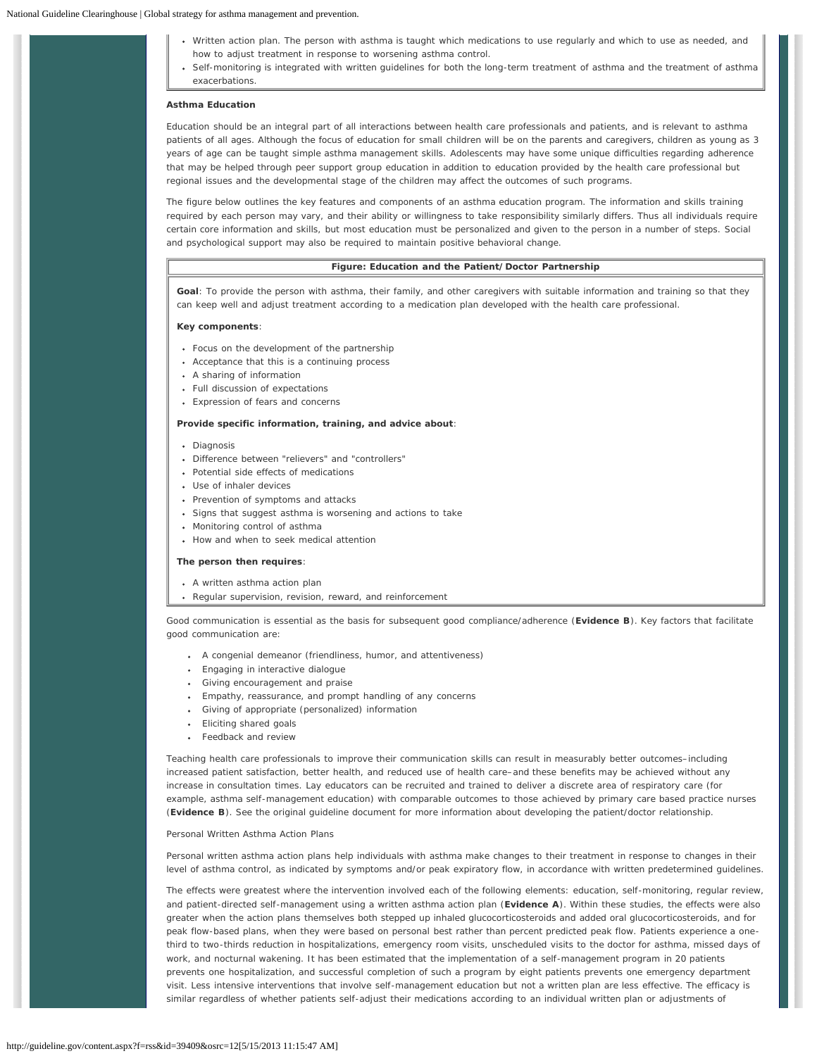- Written action plan. The person with asthma is taught which medications to use regularly and which to use as needed, and how to adjust treatment in response to worsening asthma control.
- Self-monitoring is integrated with written guidelines for both the long-term treatment of asthma and the treatment of asthma exacerbations.

### **Asthma Education**

Education should be an integral part of all interactions between health care professionals and patients, and is relevant to asthma patients of all ages. Although the focus of education for small children will be on the parents and caregivers, children as young as 3 years of age can be taught simple asthma management skills. Adolescents may have some unique difficulties regarding adherence that may be helped through peer support group education in addition to education provided by the health care professional but regional issues and the developmental stage of the children may affect the outcomes of such programs.

The figure below outlines the key features and components of an asthma education program. The information and skills training required by each person may vary, and their ability or willingness to take responsibility similarly differs. Thus all individuals require certain core information and skills, but most education must be personalized and given to the person in a number of steps. Social and psychological support may also be required to maintain positive behavioral change.

## **Figure: Education and the Patient/Doctor Partnership**

**Goal**: To provide the person with asthma, their family, and other caregivers with suitable information and training so that they can keep well and adjust treatment according to a medication plan developed with the health care professional.

#### **Key components**:

- Focus on the development of the partnership
- Acceptance that this is a continuing process
- A sharing of information
- Full discussion of expectations
- Expression of fears and concerns

### **Provide specific information, training, and advice about**:

- Diagnosis
- Difference between "relievers" and "controllers"
- Potential side effects of medications
- Use of inhaler devices
- Prevention of symptoms and attacks
- Signs that suggest asthma is worsening and actions to take
- Monitoring control of asthma
- How and when to seek medical attention

### **The person then requires**:

- A written asthma action plan
- Regular supervision, revision, reward, and reinforcement

*Good communication* is essential as the basis for subsequent good compliance/adherence (**Evidence B**). Key factors that facilitate good communication are:

- A congenial demeanor (friendliness, humor, and attentiveness)
- Engaging in interactive dialogue
- Giving encouragement and praise
- Empathy, reassurance, and prompt handling of any concerns
- Giving of appropriate (personalized) information
- Eliciting shared goals
- Feedback and review

*Teaching health care professionals to improve their communication skills* can result in measurably better outcomes–including increased patient satisfaction, better health, and reduced use of health care–and these benefits may be achieved without any increase in consultation times. Lay educators can be recruited and trained to deliver a discrete area of respiratory care (for example, asthma self-management education) with comparable outcomes to those achieved by primary care based practice nurses (**Evidence B**). See the original guideline document for more information about developing the patient/doctor relationship.

# *Personal Written Asthma Action Plans*

Personal written asthma action plans help individuals with asthma make changes to their treatment in response to changes in their level of asthma control, as indicated by symptoms and/or peak expiratory flow, in accordance with written predetermined guidelines.

The effects were greatest where the intervention involved each of the following elements: education, self-monitoring, regular review, and patient-directed self-management using a written asthma action plan (**Evidence A**). Within these studies, the effects were also greater when the action plans themselves both stepped up inhaled glucocorticosteroids and added oral glucocorticosteroids, and for peak flow-based plans, when they were based on personal best rather than percent predicted peak flow. Patients experience a onethird to two-thirds reduction in hospitalizations, emergency room visits, unscheduled visits to the doctor for asthma, missed days of work, and nocturnal wakening. It has been estimated that the implementation of a self-management program in 20 patients prevents one hospitalization, and successful completion of such a program by eight patients prevents one emergency department visit. Less intensive interventions that involve self-management education but not a written plan are less effective. The efficacy is similar regardless of whether patients self-adjust their medications according to an individual written plan or adjustments of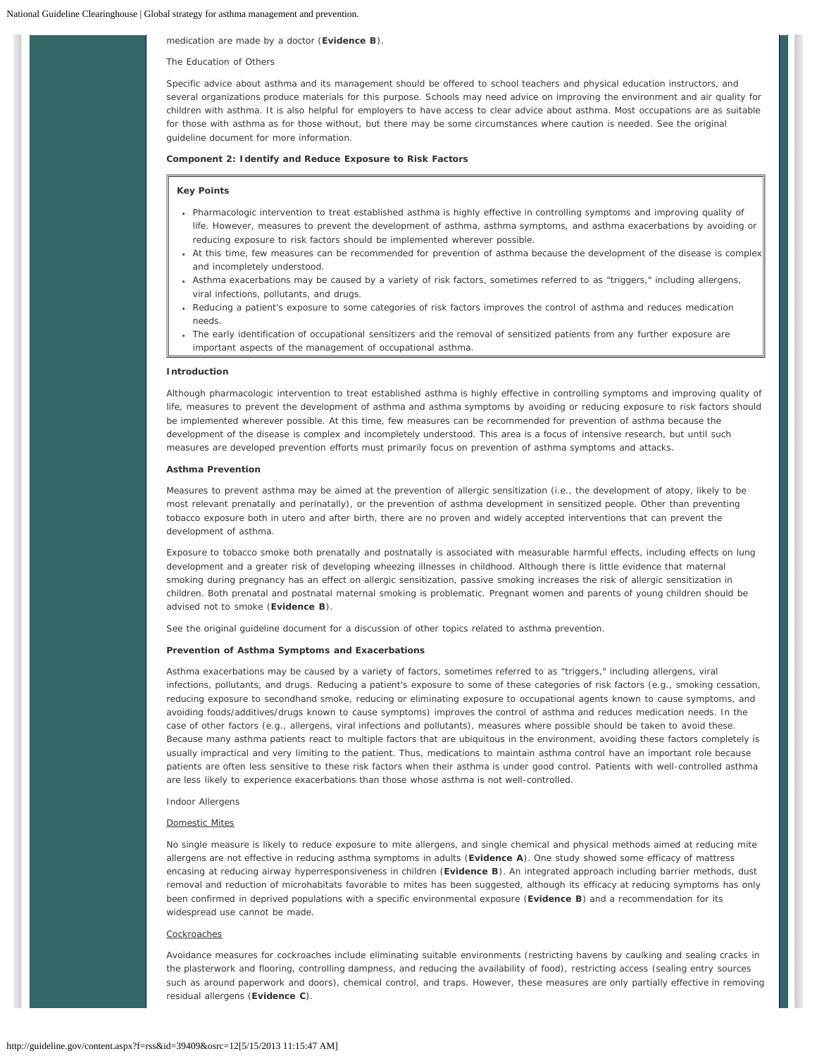## medication are made by a doctor (**Evidence B**).

## *The Education of Others*

Specific advice about asthma and its management should be offered to school teachers and physical education instructors, and several organizations produce materials for this purpose. Schools may need advice on improving the environment and air quality for children with asthma. It is also helpful for employers to have access to clear advice about asthma. Most occupations are as suitable for those with asthma as for those without, but there may be some circumstances where caution is needed. See the original guideline document for more information.

# **Component 2: Identify and Reduce Exposure to Risk Factors**

### **Key Points**

- Pharmacologic intervention to treat established asthma is highly effective in controlling symptoms and improving quality of life. However, measures to prevent the development of asthma, asthma symptoms, and asthma exacerbations by avoiding or reducing exposure to risk factors should be implemented wherever possible.
- At this time, few measures can be recommended for prevention of asthma because the development of the disease is complex and incompletely understood.
- Asthma exacerbations may be caused by a variety of risk factors, sometimes referred to as "triggers," including allergens, viral infections, pollutants, and drugs.
- Reducing a patient's exposure to some categories of risk factors improves the control of asthma and reduces medication needs.
- The early identification of occupational sensitizers and the removal of sensitized patients from any further exposure are important aspects of the management of occupational asthma.

### **Introduction**

Although pharmacologic intervention to treat established asthma is highly effective in controlling symptoms and improving quality of life, measures to prevent the development of asthma and asthma symptoms by avoiding or reducing exposure to risk factors should be implemented wherever possible. At this time, few measures can be recommended for prevention of asthma because the development of the disease is complex and incompletely understood. This area is a focus of intensive research, but until such measures are developed prevention efforts must primarily focus on prevention of asthma symptoms and attacks.

### **Asthma Prevention**

Measures to prevent asthma may be aimed at the prevention of allergic sensitization (i.e., the development of atopy, likely to be most relevant prenatally and perinatally), or the prevention of asthma development in sensitized people. Other than preventing tobacco exposure both *in utero* and after birth, there are no proven and widely accepted interventions that can prevent the development of asthma.

Exposure to tobacco smoke both prenatally and postnatally is associated with measurable harmful effects, including effects on lung development and a greater risk of developing wheezing illnesses in childhood. Although there is little evidence that maternal smoking during pregnancy has an effect on allergic sensitization, passive smoking increases the risk of allergic sensitization in children. Both prenatal and postnatal maternal smoking is problematic. Pregnant women and parents of young children should be advised not to smoke (**Evidence B**).

See the original guideline document for a discussion of other topics related to asthma prevention.

### **Prevention of Asthma Symptoms and Exacerbations**

Asthma exacerbations may be caused by a variety of factors, sometimes referred to as "triggers," including allergens, viral infections, pollutants, and drugs. Reducing a patient's exposure to some of these categories of risk factors (e.g., smoking cessation, reducing exposure to secondhand smoke, reducing or eliminating exposure to occupational agents known to cause symptoms, and avoiding foods/additives/drugs known to cause symptoms) improves the control of asthma and reduces medication needs. In the case of other factors (e.g., allergens, viral infections and pollutants), measures where possible should be taken to avoid these. Because many asthma patients react to multiple factors that are ubiquitous in the environment, avoiding these factors completely is usually impractical and very limiting to the patient. Thus, medications to maintain asthma control have an important role because patients are often less sensitive to these risk factors when their asthma is under good control. Patients with well-controlled asthma are less likely to experience exacerbations than those whose asthma is not well-controlled.

### *Indoor Allergens*

## Domestic Mites

No single measure is likely to reduce exposure to mite allergens, and single chemical and physical methods aimed at reducing mite allergens are not effective in reducing asthma symptoms in adults (**Evidence A**). One study showed some efficacy of mattress encasing at reducing airway hyperresponsiveness in children (**Evidence B**). An integrated approach including barrier methods, dust removal and reduction of microhabitats favorable to mites has been suggested, although its efficacy at reducing symptoms has only been confirmed in deprived populations with a specific environmental exposure (**Evidence B**) and a recommendation for its widespread use cannot be made.

### **Cockroaches**

Avoidance measures for cockroaches include eliminating suitable environments (restricting havens by caulking and sealing cracks in the plasterwork and flooring, controlling dampness, and reducing the availability of food), restricting access (sealing entry sources such as around paperwork and doors), chemical control, and traps. However, these measures are only partially effective in removing residual allergens (**Evidence C**).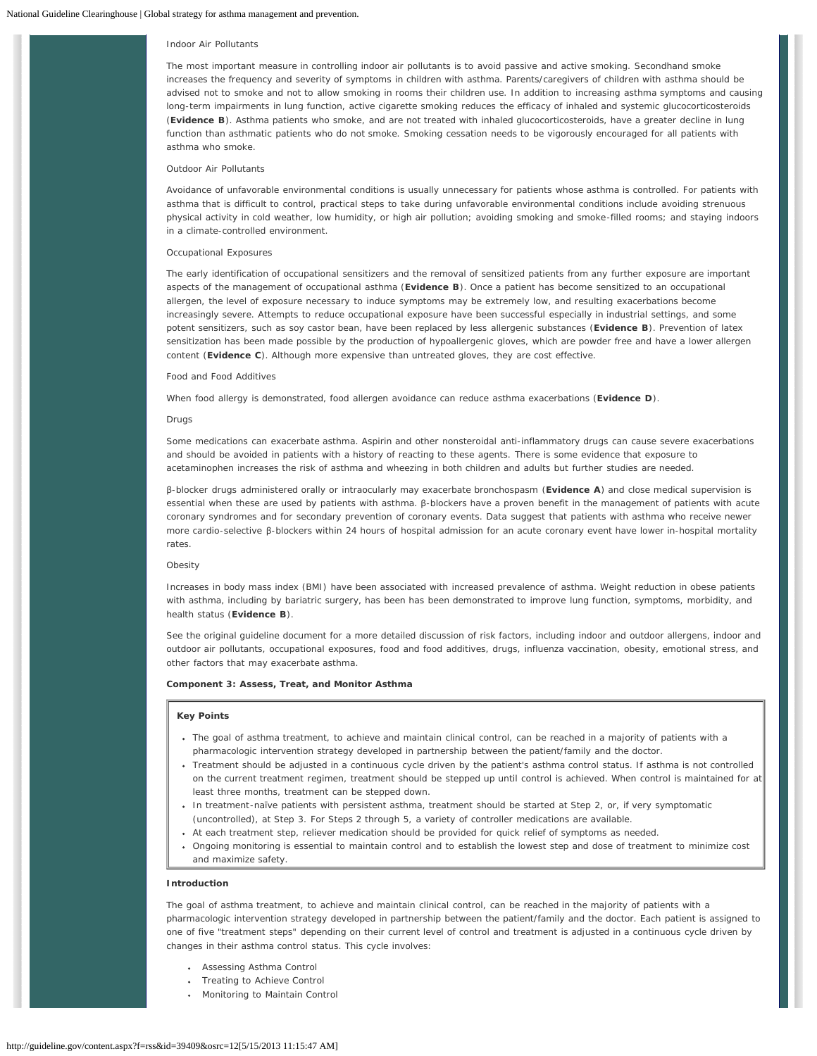### *Indoor Air Pollutants*

The most important measure in controlling indoor air pollutants is to avoid passive and active smoking. Secondhand smoke increases the frequency and severity of symptoms in children with asthma. Parents/caregivers of children with asthma should be advised not to smoke and not to allow smoking in rooms their children use. In addition to increasing asthma symptoms and causing long-term impairments in lung function, active cigarette smoking reduces the efficacy of inhaled and systemic glucocorticosteroids (**Evidence B**). Asthma patients who smoke, and are not treated with inhaled glucocorticosteroids, have a greater decline in lung function than asthmatic patients who do not smoke. Smoking cessation needs to be vigorously encouraged for all patients with asthma who smoke.

### *Outdoor Air Pollutants*

Avoidance of unfavorable environmental conditions is usually unnecessary for patients whose asthma is controlled. For patients with asthma that is difficult to control, practical steps to take during unfavorable environmental conditions include avoiding strenuous physical activity in cold weather, low humidity, or high air pollution; avoiding smoking and smoke-filled rooms; and staying indoors in a climate-controlled environment.

### *Occupational Exposures*

The early identification of occupational sensitizers and the removal of sensitized patients from any further exposure are important aspects of the management of occupational asthma (**Evidence B**). Once a patient has become sensitized to an occupational allergen, the level of exposure necessary to induce symptoms may be extremely low, and resulting exacerbations become increasingly severe. Attempts to reduce occupational exposure have been successful especially in industrial settings, and some potent sensitizers, such as soy castor bean, have been replaced by less allergenic substances (**Evidence B**). Prevention of latex sensitization has been made possible by the production of hypoallergenic gloves, which are powder free and have a lower allergen content (**Evidence C**). Although more expensive than untreated gloves, they are cost effective.

### *Food and Food Additives*

When food allergy is demonstrated, food allergen avoidance can reduce asthma exacerbations (**Evidence D**).

#### *Drugs*

Some medications can exacerbate asthma. Aspirin and other nonsteroidal anti-inflammatory drugs can cause severe exacerbations and should be avoided in patients with a history of reacting to these agents. There is some evidence that exposure to acetaminophen increases the risk of asthma and wheezing in both children and adults but further studies are needed.

β-blocker drugs administered orally or intraocularly may exacerbate bronchospasm (**Evidence A**) and close medical supervision is essential when these are used by patients with asthma. β-blockers have a proven benefit in the management of patients with acute coronary syndromes and for secondary prevention of coronary events. Data suggest that patients with asthma who receive newer more cardio-selective β-blockers within 24 hours of hospital admission for an acute coronary event have lower in-hospital mortality rates.

#### *Obesity*

Increases in body mass index (BMI) have been associated with increased prevalence of asthma. Weight reduction in obese patients with asthma, including by bariatric surgery, has been has been demonstrated to improve lung function, symptoms, morbidity, and health status (**Evidence B**).

See the original guideline document for a more detailed discussion of risk factors, including indoor and outdoor allergens, indoor and outdoor air pollutants, occupational exposures, food and food additives, drugs, influenza vaccination, obesity, emotional stress, and other factors that may exacerbate asthma.

### **Component 3: Assess, Treat, and Monitor Asthma**

# **Key Points**

- The goal of asthma treatment, to achieve and maintain clinical control, can be reached in a majority of patients with a pharmacologic intervention strategy developed in partnership between the patient/family and the doctor.
- Treatment should be adjusted in a continuous cycle driven by the patient's asthma control status. If asthma is not controlled on the current treatment regimen, treatment should be stepped up until control is achieved. When control is maintained for at least three months, treatment can be stepped down.
- In treatment-naïve patients with persistent asthma, treatment should be started at *Step 2*, or, if very symptomatic (uncontrolled), at *Step 3*. For *Steps 2* through *5*, a variety of controller medications are available.
- At each treatment step, reliever medication should be provided for quick relief of symptoms as needed.
- Ongoing monitoring is essential to maintain control and to establish the lowest step and dose of treatment to minimize cost and maximize safety.

### **Introduction**

The goal of asthma treatment, to achieve and maintain clinical control, can be reached in the majority of patients with a pharmacologic intervention strategy developed in partnership between the patient/family and the doctor. Each patient is assigned to one of five "treatment steps" depending on their current level of control and treatment is adjusted in a continuous cycle driven by changes in their asthma control status. This cycle involves:

- Assessing Asthma Control
- Treating to Achieve Control
- Monitoring to Maintain Control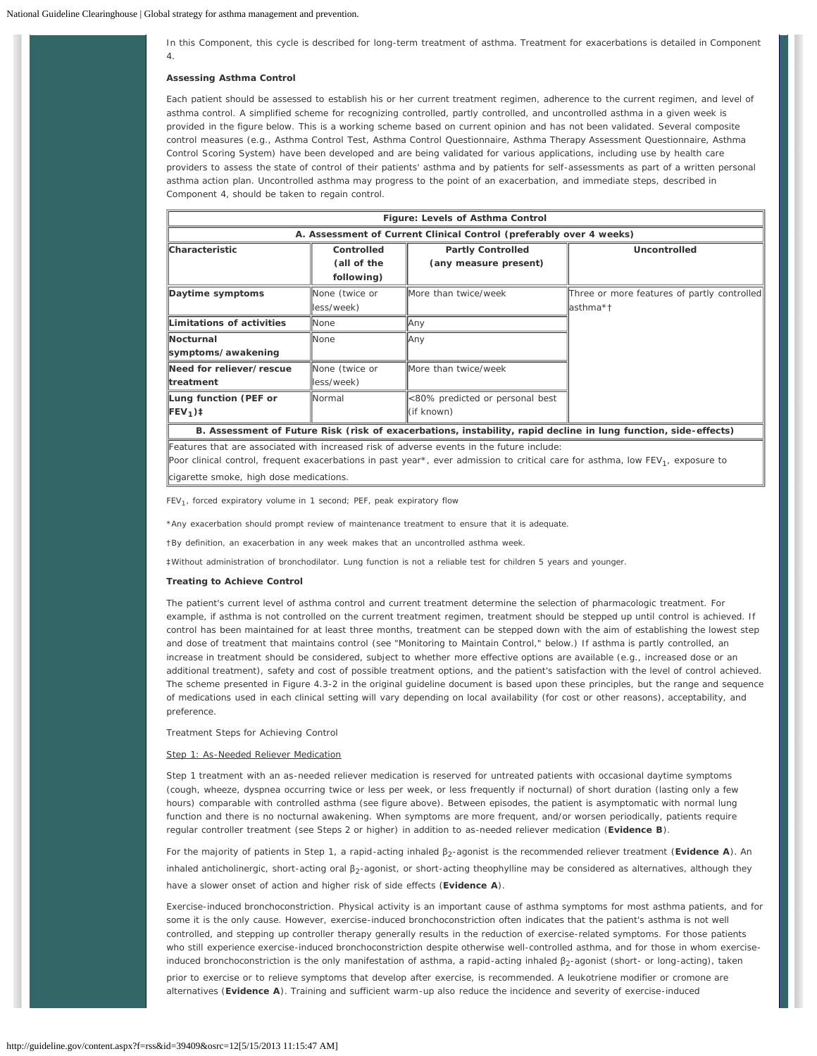In this Component, this cycle is described for long-term treatment of asthma. Treatment for exacerbations is detailed in Component 4.

### **Assessing Asthma Control**

Each patient should be assessed to establish his or her current treatment regimen, adherence to the current regimen, and level of asthma control. A simplified scheme for recognizing controlled, partly controlled, and uncontrolled asthma in a given week is provided in the figure below. This is a working scheme based on current opinion and has not been validated. Several composite control measures (e.g., Asthma Control Test, Asthma Control Questionnaire, Asthma Therapy Assessment Questionnaire, Asthma Control Scoring System) have been developed and are being validated for various applications, including use by health care providers to assess the state of control of their patients' asthma and by patients for self-assessments as part of a written personal asthma action plan. Uncontrolled asthma may progress to the point of an exacerbation, and immediate steps, described in Component 4, should be taken to regain control.

| Figure: Levels of Asthma Control                                    |                |                                 |                                             |  |  |  |
|---------------------------------------------------------------------|----------------|---------------------------------|---------------------------------------------|--|--|--|
| A. Assessment of Current Clinical Control (preferably over 4 weeks) |                |                                 |                                             |  |  |  |
| Characteristic                                                      | Controlled     | <b>Partly Controlled</b>        | Uncontrolled                                |  |  |  |
|                                                                     | (all of the    | (any measure present)           |                                             |  |  |  |
|                                                                     | following)     |                                 |                                             |  |  |  |
| Daytime symptoms                                                    | None (twice or | More than twice/week            | Three or more features of partly controlled |  |  |  |
|                                                                     | less/week)     |                                 | lasthma*†                                   |  |  |  |
| Limitations of activities                                           | None           | Any                             |                                             |  |  |  |
| <b>Nocturnal</b>                                                    | None           | Any                             |                                             |  |  |  |
| symptoms/awakening                                                  |                |                                 |                                             |  |  |  |
| Need for reliever/rescue                                            | None (twice or | More than twice/week            |                                             |  |  |  |
| ltreatment                                                          | less/week)     |                                 |                                             |  |  |  |
| Lung function (PEF or                                               | Normal         | <80% predicted or personal best |                                             |  |  |  |
| $\text{FEV}_1$ ) ‡                                                  |                | (if known)                      |                                             |  |  |  |

**B. Assessment of Future Risk (risk of exacerbations, instability, rapid decline in lung function, side-effects)**

Features that are associated with increased risk of adverse events in the future include:

Poor clinical control, frequent exacerbations in past year\*, ever admission to critical care for asthma, low FEV<sub>1</sub>, exposure to cigarette smoke, high dose medications.

 $FEV<sub>1</sub>$ , forced expiratory volume in 1 second; PEF, peak expiratory flow

\*Any exacerbation should prompt review of maintenance treatment to ensure that it is adequate.

†By definition, an exacerbation in any week makes that an uncontrolled asthma week.

‡Without administration of bronchodilator. Lung function is not a reliable test for children 5 years and younger.

### **Treating to Achieve Control**

The patient's current level of asthma control and current treatment determine the selection of pharmacologic treatment. For example, if asthma is not controlled on the current treatment regimen, treatment should be stepped up until control is achieved. If control has been maintained for at least three months, treatment can be stepped down with the aim of establishing the lowest step and dose of treatment that maintains control (see "Monitoring to Maintain Control," below.) If asthma is partly controlled, an increase in treatment should be considered, subject to whether more effective options are available (e.g., increased dose or an additional treatment), safety and cost of possible treatment options, and the patient's satisfaction with the level of control achieved. The scheme presented in Figure 4.3-2 in the original guideline document is based upon these principles, but the range and sequence of medications used in each clinical setting will vary depending on local availability (for cost or other reasons), acceptability, and preference.

*Treatment Steps for Achieving Control*

## Step 1: As-Needed Reliever Medication

*Step 1* treatment with an as-needed reliever medication is reserved for untreated patients with occasional daytime symptoms (cough, wheeze, dyspnea occurring twice or less per week, or less frequently if nocturnal) of short duration (lasting only a few hours) comparable with controlled asthma (see figure above). Between episodes, the patient is asymptomatic with normal lung function and there is no nocturnal awakening. When symptoms are more frequent, and/or worsen periodically, patients require regular controller treatment (see *Steps 2* or higher) in addition to as-needed reliever medication (**Evidence B**).

For the majority of patients in *Step 1*, a rapid-acting inhaled β2-agonist is the recommended reliever treatment (**Evidence A**). An inhaled anticholinergic, short-acting oral β<sub>2</sub>-agonist, or short-acting theophylline may be considered as alternatives, although they have a slower onset of action and higher risk of side effects (**Evidence A**).

*Exercise-induced bronchoconstriction*. Physical activity is an important cause of asthma symptoms for most asthma patients, and for some it is the only cause. However, exercise-induced bronchoconstriction often indicates that the patient's asthma is not well controlled, and stepping up controller therapy generally results in the reduction of exercise-related symptoms. For those patients who still experience exercise-induced bronchoconstriction despite otherwise well-controlled asthma, and for those in whom exerciseinduced bronchoconstriction is the only manifestation of asthma, a rapid-acting inhaled β<sub>2</sub>-agonist (short- or long-acting), taken

prior to exercise or to relieve symptoms that develop after exercise, is recommended. A leukotriene modifier or cromone are alternatives (**Evidence A**). Training and sufficient warm-up also reduce the incidence and severity of exercise-induced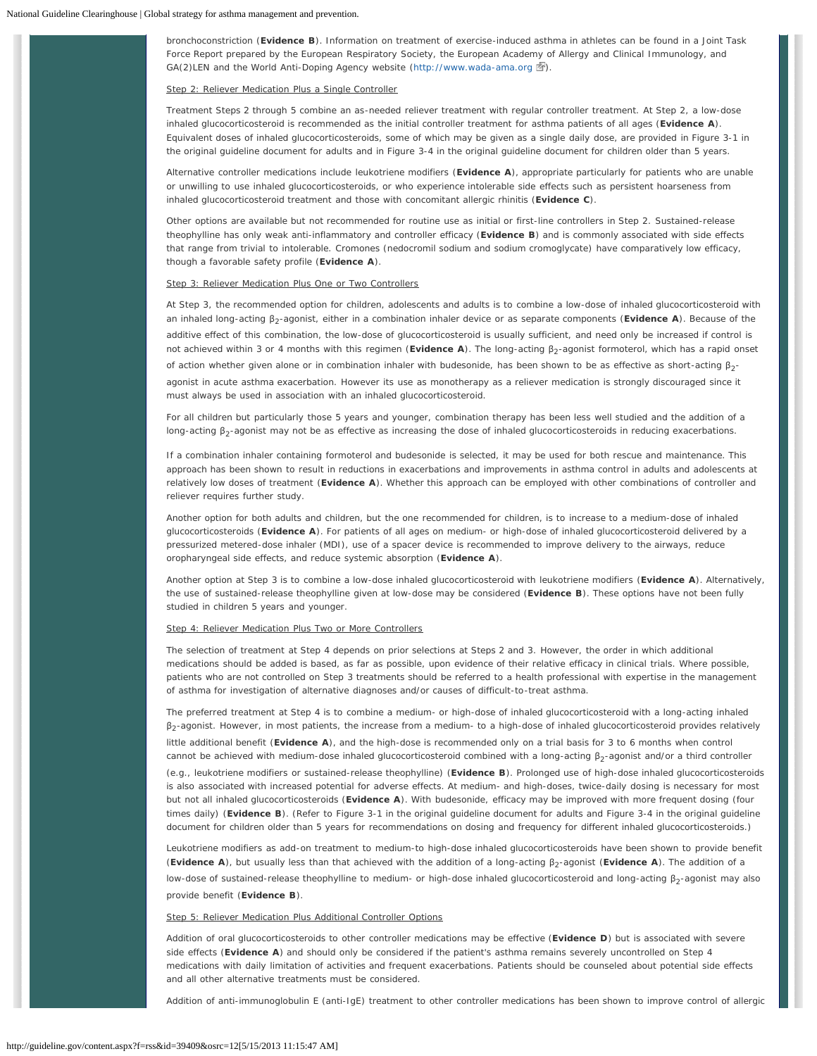bronchoconstriction (**Evidence B**). Information on treatment of exercise-induced asthma in athletes can be found in a Joint Task Force Report prepared by the European Respiratory Society, the European Academy of Allergy and Clinical Immunology, and GA(2)LEN and the World Anti-Doping Agency website [\(http://www.wada-ama.org](http://guideline.gov/disclaimer.aspx?redirect=http://www.wada-ama.org)  $\mathbb{F}$ ).

### Step 2: Reliever Medication Plus a Single Controller

Treatment *Steps 2* through *5* combine an as-needed reliever treatment with regular controller treatment. At *Step 2*, a low-dose inhaled glucocorticosteroid is recommended as the initial controller treatment for asthma patients of all ages (**Evidence A**). Equivalent doses of inhaled glucocorticosteroids, some of which may be given as a single daily dose, are provided in Figure 3-1 in the original guideline document for adults and in Figure 3-4 in the original guideline document for children older than 5 years.

Alternative controller medications include leukotriene modifiers (**Evidence A**), appropriate particularly for patients who are unable or unwilling to use inhaled glucocorticosteroids, or who experience intolerable side effects such as persistent hoarseness from inhaled glucocorticosteroid treatment and those with concomitant allergic rhinitis (**Evidence C**).

Other options are available but not recommended for routine use as initial or first-line controllers in *Step 2*. Sustained-release theophylline has only weak anti-inflammatory and controller efficacy (**Evidence B**) and is commonly associated with side effects that range from trivial to intolerable. Cromones (nedocromil sodium and sodium cromoglycate) have comparatively low efficacy, though a favorable safety profile (**Evidence A**).

# Step 3: Reliever Medication Plus One or Two Controllers

At *Step 3*, the recommended option for children, adolescents and adults is to combine a low-dose of inhaled glucocorticosteroid with an inhaled long-acting β2-agonist, either in a combination inhaler device or as separate components (**Evidence A**). Because of the additive effect of this combination, the low-dose of glucocorticosteroid is usually sufficient, and need only be increased if control is not achieved within 3 or 4 months with this regimen (Evidence A). The long-acting β<sub>2</sub>-agonist formoterol, which has a rapid onset

of action whether given alone or in combination inhaler with budesonide, has been shown to be as effective as short-acting β2-

agonist in acute asthma exacerbation. However its use as monotherapy as a reliever medication is strongly discouraged since it must always be used in association with an inhaled glucocorticosteroid.

For all children but particularly those 5 years and younger, combination therapy has been less well studied and the addition of a long-acting  $β_2$ -agonist may not be as effective as increasing the dose of inhaled glucocorticosteroids in reducing exacerbations.

If a combination inhaler containing formoterol and budesonide is selected, it may be used for both rescue and maintenance. This approach has been shown to result in reductions in exacerbations and improvements in asthma control in adults and adolescents at relatively low doses of treatment (**Evidence A**). Whether this approach can be employed with other combinations of controller and reliever requires further study.

Another option for both adults and children, but the one recommended for children, is to increase to a medium-dose of inhaled glucocorticosteroids (**Evidence A**). For patients of all ages on medium- or high-dose of inhaled glucocorticosteroid delivered by a pressurized metered-dose inhaler (MDI), use of a spacer device is recommended to improve delivery to the airways, reduce oropharyngeal side effects, and reduce systemic absorption (**Evidence A**).

Another option at *Step 3* is to combine a low-dose inhaled glucocorticosteroid with leukotriene modifiers (**Evidence A**). Alternatively, the use of sustained-release theophylline given at low-dose may be considered (**Evidence B**). These options have not been fully studied in children 5 years and younger.

### Step 4: Reliever Medication Plus Two or More Controllers

The selection of treatment at *Step 4* depends on prior selections at *Steps 2* and *3*. However, the order in which additional medications should be added is based, as far as possible, upon evidence of their relative efficacy in clinical trials. Where possible, patients who are not controlled on *Step 3* treatments should be referred to a health professional with expertise in the management of asthma for investigation of alternative diagnoses and/or causes of difficult-to-treat asthma.

The preferred treatment at *Step 4* is to combine a medium- or high-dose of inhaled glucocorticosteroid with a long-acting inhaled  $\beta_2$ -agonist. However, in most patients, the increase from a medium- to a high-dose of inhaled glucocorticosteroid provides relatively little additional benefit (**Evidence A**), and the high-dose is recommended only on a trial basis for 3 to 6 months when control cannot be achieved with medium-dose inhaled glucocorticosteroid combined with a long-acting β<sub>2</sub>-agonist and/or a third controller

(e.g., leukotriene modifiers or sustained-release theophylline) (**Evidence B**). Prolonged use of high-dose inhaled glucocorticosteroids is also associated with increased potential for adverse effects. At medium- and high-doses, twice-daily dosing is necessary for most but not all inhaled glucocorticosteroids (**Evidence A**). With budesonide, efficacy may be improved with more frequent dosing (four times daily) (**Evidence B**). (Refer to Figure 3-1 in the original guideline document for adults and Figure 3-4 in the original guideline document for children older than 5 years for recommendations on dosing and frequency for different inhaled glucocorticosteroids.)

Leukotriene modifiers as add-on treatment to medium-to high-dose inhaled glucocorticosteroids have been shown to provide benefit (**Evidence A**), but usually less than that achieved with the addition of a long-acting β<sub>2</sub>-agonist (**Evidence A**). The addition of a

low-dose of sustained-release theophylline to medium- or high-dose inhaled glucocorticosteroid and long-acting β<sub>2</sub>-agonist may also provide benefit (**Evidence B**).

# Step 5: Reliever Medication Plus Additional Controller Options

Addition of oral glucocorticosteroids to other controller medications may be effective (**Evidence D**) but is associated with severe side effects (**Evidence A**) and should only be considered if the patient's asthma remains severely uncontrolled on *Step 4* medications with daily limitation of activities and frequent exacerbations. Patients should be counseled about potential side effects and all other alternative treatments must be considered.

Addition of anti-immunoglobulin E (anti-IgE) treatment to other controller medications has been shown to improve control of allergic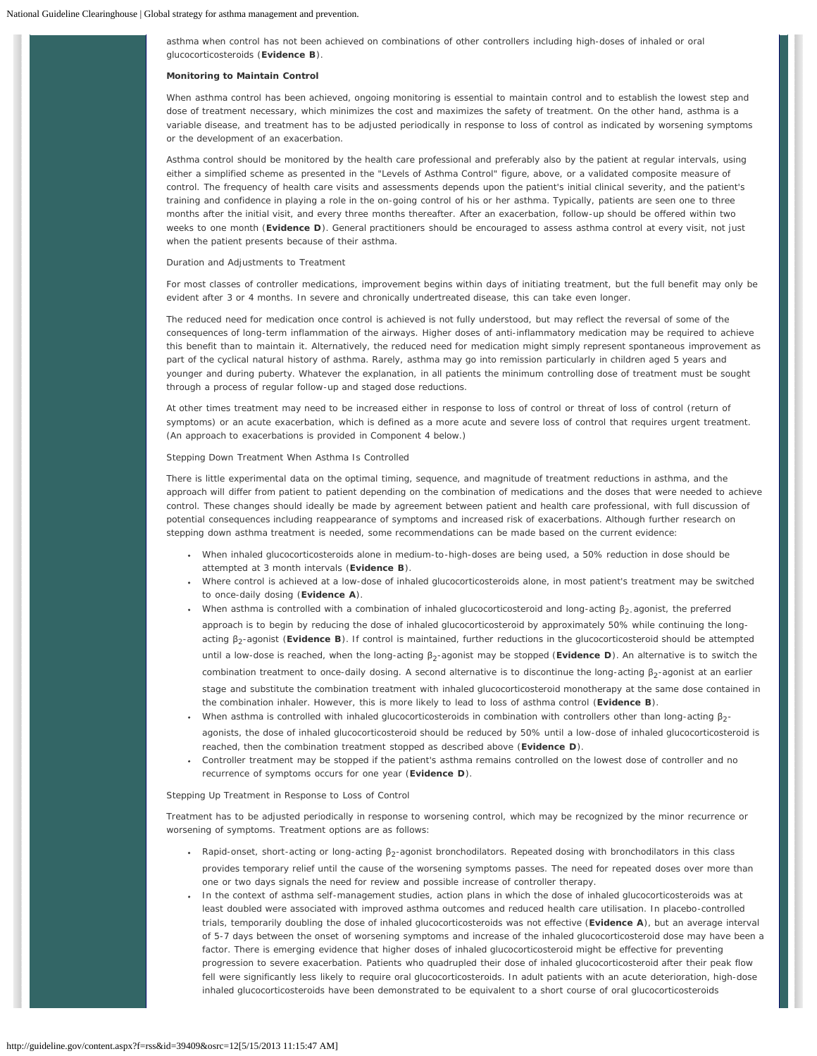asthma when control has not been achieved on combinations of other controllers including high-doses of inhaled or oral glucocorticosteroids (**Evidence B**).

### **Monitoring to Maintain Control**

When asthma control has been achieved, ongoing monitoring is essential to maintain control and to establish the lowest step and dose of treatment necessary, which minimizes the cost and maximizes the safety of treatment. On the other hand, asthma is a variable disease, and treatment has to be adjusted periodically in response to loss of control as indicated by worsening symptoms or the development of an exacerbation.

Asthma control should be monitored by the health care professional and preferably also by the patient at regular intervals, using either a simplified scheme as presented in the "Levels of Asthma Control" figure, above, or a validated composite measure of control. The frequency of health care visits and assessments depends upon the patient's initial clinical severity, and the patient's training and confidence in playing a role in the on-going control of his or her asthma. Typically, patients are seen one to three months after the initial visit, and every three months thereafter. After an exacerbation, follow-up should be offered within two weeks to one month (**Evidence D**). General practitioners should be encouraged to assess asthma control at every visit, not just when the patient presents because of their asthma.

### *Duration and Adjustments to Treatment*

For most classes of controller medications, improvement begins within days of initiating treatment, but the full benefit may only be evident after 3 or 4 months. In severe and chronically undertreated disease, this can take even longer.

The reduced need for medication once control is achieved is not fully understood, but may reflect the reversal of some of the consequences of long-term inflammation of the airways. Higher doses of anti-inflammatory medication may be required to achieve this benefit than to maintain it. Alternatively, the reduced need for medication might simply represent spontaneous improvement as part of the cyclical natural history of asthma. Rarely, asthma may go into remission particularly in children aged 5 years and younger and during puberty. Whatever the explanation, in all patients the minimum controlling dose of treatment must be sought through a process of regular follow-up and staged dose reductions.

At other times treatment may need to be increased either in response to loss of control or threat of loss of control (return of symptoms) or an acute exacerbation, which is defined as a more acute and severe loss of control that requires urgent treatment. (An approach to exacerbations is provided in Component 4 below.)

### *Stepping Down Treatment When Asthma Is Controlled*

There is little experimental data on the optimal timing, sequence, and magnitude of treatment reductions in asthma, and the approach will differ from patient to patient depending on the combination of medications and the doses that were needed to achieve control. These changes should ideally be made by agreement between patient and health care professional, with full discussion of potential consequences including reappearance of symptoms and increased risk of exacerbations. Although further research on stepping down asthma treatment is needed, some recommendations can be made based on the current evidence:

- When inhaled glucocorticosteroids alone in medium-to-high-doses are being used, a 50% reduction in dose should be attempted at 3 month intervals (**Evidence B**).
- Where control is achieved at a low-dose of inhaled glucocorticosteroids alone, in most patient's treatment may be switched to once-daily dosing (**Evidence A**).
- When asthma is controlled with a combination of inhaled glucocorticosteroid and long-acting  $\beta_2$ -agonist, the preferred approach is to begin by reducing the dose of inhaled glucocorticosteroid by approximately 50% while continuing the longacting β2-agonist (**Evidence B**). If control is maintained, further reductions in the glucocorticosteroid should be attempted until a low-dose is reached, when the long-acting β<sub>2</sub>-agonist may be stopped (**Evidence D**). An alternative is to switch the combination treatment to once-daily dosing. A second alternative is to discontinue the long-acting  $\beta_2$ -agonist at an earlier stage and substitute the combination treatment with inhaled glucocorticosteroid monotherapy at the same dose contained in the combination inhaler. However, this is more likely to lead to loss of asthma control (**Evidence B**).
- When asthma is controlled with inhaled glucocorticosteroids in combination with controllers other than long-acting  $\beta_2$ agonists, the dose of inhaled glucocorticosteroid should be reduced by 50% until a low-dose of inhaled glucocorticosteroid is reached, then the combination treatment stopped as described above (**Evidence D**).
- Controller treatment may be stopped if the patient's asthma remains controlled on the lowest dose of controller and no recurrence of symptoms occurs for one year (**Evidence D**).

### *Stepping Up Treatment in Response to Loss of Control*

Treatment has to be adjusted periodically in response to worsening control, which may be recognized by the minor recurrence or worsening of symptoms. Treatment options are as follows:

- Rapid-onset, short-acting or long-acting β<sub>2</sub>-agonist bronchodilators. Repeated dosing with bronchodilators in this class provides temporary relief until the cause of the worsening symptoms passes. The need for repeated doses over more than one or two days signals the need for review and possible increase of controller therapy.
- In the context of asthma self-management studies, action plans in which the dose of inhaled glucocorticosteroids was at least doubled were associated with improved asthma outcomes and reduced health care utilisation. In placebo-controlled trials, temporarily doubling the dose of inhaled glucocorticosteroids was not effective (**Evidence A**), but an average interval of 5-7 days between the onset of worsening symptoms and increase of the inhaled glucocorticosteroid dose may have been a factor. There is emerging evidence that higher doses of inhaled glucocorticosteroid might be effective for preventing progression to severe exacerbation. Patients who quadrupled their dose of inhaled glucocorticosteroid after their peak flow fell were significantly less likely to require oral glucocorticosteroids. In adult patients with an acute deterioration, high-dose inhaled glucocorticosteroids have been demonstrated to be equivalent to a short course of oral glucocorticosteroids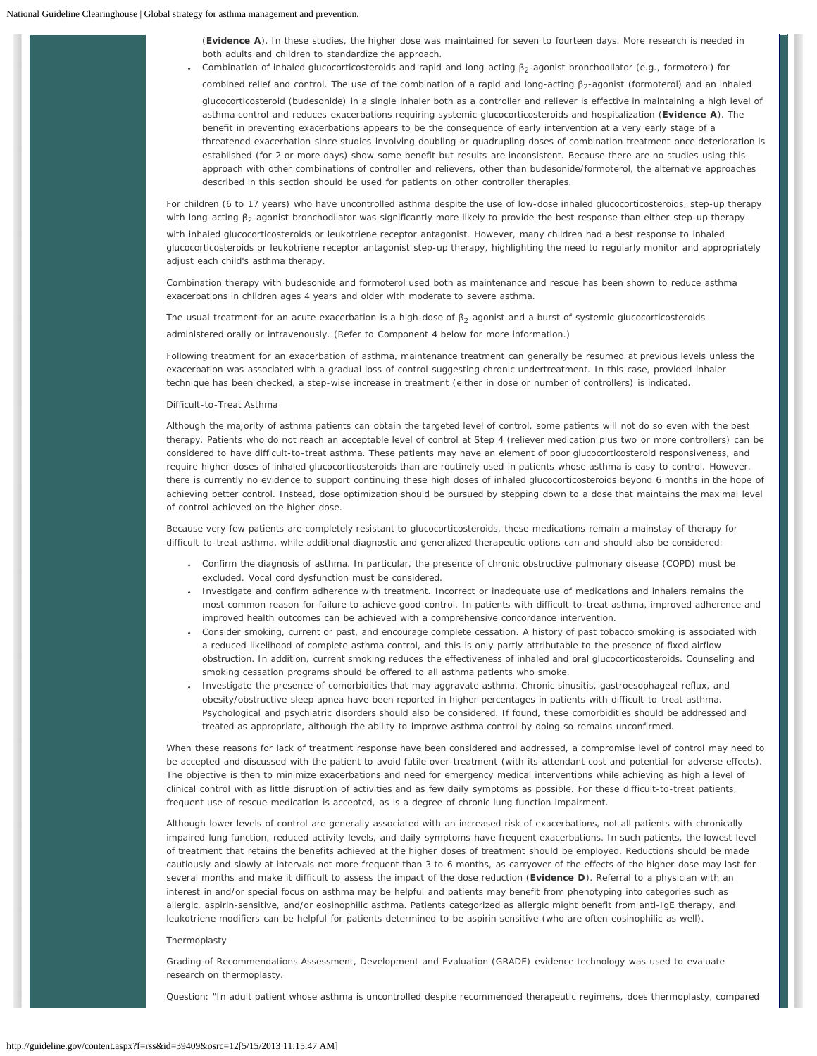(**Evidence A**). In these studies, the higher dose was maintained for seven to fourteen days. More research is needed in both adults and children to standardize the approach.

Combination of inhaled glucocorticosteroids and rapid and long-acting  $\beta_2$ -agonist bronchodilator (e.g., formoterol) for combined relief and control. The use of the combination of a rapid and long-acting  $\beta_2$ -agonist (formoterol) and an inhaled glucocorticosteroid (budesonide) in a single inhaler both as a controller and reliever is effective in maintaining a high level of asthma control and reduces exacerbations requiring systemic glucocorticosteroids and hospitalization (**Evidence A**). The benefit in preventing exacerbations appears to be the consequence of early intervention at a very early stage of a threatened exacerbation since studies involving doubling or quadrupling doses of combination treatment once deterioration is established (for 2 or more days) show some benefit but results are inconsistent. Because there are no studies using this approach with other combinations of controller and relievers, other than budesonide/formoterol, the alternative approaches described in this section should be used for patients on other controller therapies.

For children (6 to 17 years) who have uncontrolled asthma despite the use of low-dose inhaled glucocorticosteroids, step-up therapy with long-acting β<sub>2</sub>-agonist bronchodilator was significantly more likely to provide the best response than either step-up therapy with inhaled glucocorticosteroids or leukotriene receptor antagonist. However, many children had a best response to inhaled glucocorticosteroids or leukotriene receptor antagonist step-up therapy, highlighting the need to regularly monitor and appropriately adjust each child's asthma therapy.

Combination therapy with budesonide and formoterol used both as maintenance and rescue has been shown to reduce asthma exacerbations in children ages 4 years and older with moderate to severe asthma.

The usual treatment for an acute exacerbation is a high-dose of  $\beta_2$ -agonist and a burst of systemic glucocorticosteroids administered orally or intravenously. (Refer to Component 4 below for more information.)

Following treatment for an exacerbation of asthma, maintenance treatment can generally be resumed at previous levels unless the exacerbation was associated with a gradual loss of control suggesting chronic undertreatment. In this case, provided inhaler technique has been checked, a step-wise increase in treatment (either in dose or number of controllers) is indicated.

### *Difficult-to-Treat Asthma*

Although the majority of asthma patients can obtain the targeted level of control, some patients will not do so even with the best therapy. Patients who do not reach an acceptable level of control at *Step 4* (reliever medication plus two or more controllers) can be considered to have difficult-to-treat asthma. These patients may have an element of poor glucocorticosteroid responsiveness, and require higher doses of inhaled glucocorticosteroids than are routinely used in patients whose asthma is easy to control. However, there is currently no evidence to support continuing these high doses of inhaled glucocorticosteroids beyond 6 months in the hope of achieving better control. Instead, dose optimization should be pursued by stepping down to a dose that maintains the maximal level of control achieved on the higher dose.

Because very few patients are completely resistant to glucocorticosteroids, these medications remain a mainstay of therapy for difficult-to-treat asthma, while additional diagnostic and generalized therapeutic options can and should also be considered:

- Confirm the diagnosis of asthma. In particular, the presence of chronic obstructive pulmonary disease (COPD) must be excluded. Vocal cord dysfunction must be considered.
- Investigate and confirm adherence with treatment. Incorrect or inadequate use of medications and inhalers remains the most common reason for failure to achieve good control. In patients with difficult-to-treat asthma, improved adherence and improved health outcomes can be achieved with a comprehensive concordance intervention.
- Consider smoking, current or past, and encourage complete cessation. A history of past tobacco smoking is associated with a reduced likelihood of complete asthma control, and this is only partly attributable to the presence of fixed airflow obstruction. In addition, current smoking reduces the effectiveness of inhaled and oral glucocorticosteroids. Counseling and smoking cessation programs should be offered to all asthma patients who smoke.
- Investigate the presence of comorbidities that may aggravate asthma. Chronic sinusitis, gastroesophageal reflux, and obesity/obstructive sleep apnea have been reported in higher percentages in patients with difficult-to-treat asthma. Psychological and psychiatric disorders should also be considered. If found, these comorbidities should be addressed and treated as appropriate, although the ability to improve asthma control by doing so remains unconfirmed.

When these reasons for lack of treatment response have been considered and addressed, a compromise level of control may need to be accepted and discussed with the patient to avoid futile over-treatment (with its attendant cost and potential for adverse effects). The objective is then to minimize exacerbations and need for emergency medical interventions while achieving as high a level of clinical control with as little disruption of activities and as few daily symptoms as possible. For these difficult-to-treat patients, frequent use of rescue medication is accepted, as is a degree of chronic lung function impairment.

Although lower levels of control are generally associated with an increased risk of exacerbations, not all patients with chronically impaired lung function, reduced activity levels, and daily symptoms have frequent exacerbations. In such patients, the lowest level of treatment that retains the benefits achieved at the higher doses of treatment should be employed. Reductions should be made cautiously and slowly at intervals not more frequent than 3 to 6 months, as carryover of the effects of the higher dose may last for several months and make it difficult to assess the impact of the dose reduction (**Evidence D**). Referral to a physician with an interest in and/or special focus on asthma may be helpful and patients may benefit from phenotyping into categories such as allergic, aspirin-sensitive, and/or eosinophilic asthma. Patients categorized as allergic might benefit from anti-IgE therapy, and leukotriene modifiers can be helpful for patients determined to be aspirin sensitive (who are often eosinophilic as well).

### *Thermoplasty*

Grading of Recommendations Assessment, Development and Evaluation (GRADE) evidence technology was used to evaluate research on thermoplasty.

Question: "In adult patient whose asthma is uncontrolled despite recommended therapeutic regimens, does thermoplasty, compared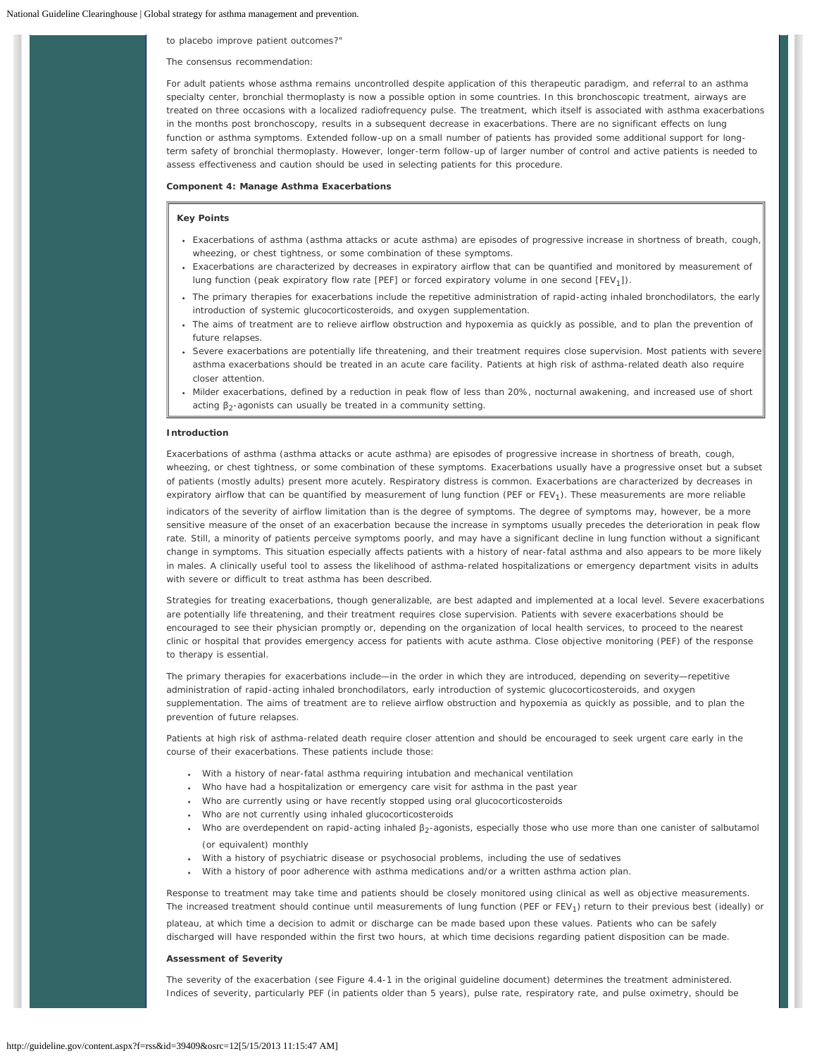to placebo improve patient outcomes?"

#### The consensus recommendation:

For adult patients whose asthma remains uncontrolled despite application of this therapeutic paradigm, and referral to an asthma specialty center, bronchial thermoplasty is now a possible option in some countries. In this bronchoscopic treatment, airways are treated on three occasions with a localized radiofrequency pulse. The treatment, which itself is associated with asthma exacerbations in the months post bronchoscopy, results in a subsequent decrease in exacerbations. There are no significant effects on lung function or asthma symptoms. Extended follow-up on a small number of patients has provided some additional support for longterm safety of bronchial thermoplasty. However, longer-term follow-up of larger number of control and active patients is needed to assess effectiveness and caution should be used in selecting patients for this procedure.

## **Component 4: Manage Asthma Exacerbations**

# **Key Points**

- Exacerbations of asthma (asthma attacks or acute asthma) are episodes of progressive increase in shortness of breath, cough, wheezing, or chest tightness, or some combination of these symptoms.
- Exacerbations are characterized by decreases in expiratory airflow that can be quantified and monitored by measurement of lung function (peak expiratory flow rate [PEF] or forced expiratory volume in one second [FEV<sub>1</sub>]).
- The primary therapies for exacerbations include the repetitive administration of rapid-acting inhaled bronchodilators, the early introduction of systemic glucocorticosteroids, and oxygen supplementation.
- The aims of treatment are to relieve airflow obstruction and hypoxemia as quickly as possible, and to plan the prevention of future relapses.
- Severe exacerbations are potentially life threatening, and their treatment requires close supervision. Most patients with severe asthma exacerbations should be treated in an acute care facility. Patients at high risk of asthma-related death also require closer attention.
- Milder exacerbations, defined by a reduction in peak flow of less than 20%, nocturnal awakening, and increased use of short acting  $β_2$ -agonists can usually be treated in a community setting.

# **Introduction**

Exacerbations of asthma (asthma attacks or acute asthma) are episodes of progressive increase in shortness of breath, cough, wheezing, or chest tightness, or some combination of these symptoms. Exacerbations usually have a progressive onset but a subset of patients (mostly adults) present more acutely. Respiratory distress is common. Exacerbations are characterized by decreases in expiratory airflow that can be quantified by measurement of lung function (PEF or FEV<sub>1</sub>). These measurements are more reliable

indicators of the severity of airflow limitation than is the degree of symptoms. The degree of symptoms may, however, be a more sensitive measure of the onset of an exacerbation because the increase in symptoms usually precedes the deterioration in peak flow rate. Still, a minority of patients perceive symptoms poorly, and may have a significant decline in lung function without a significant change in symptoms. This situation especially affects patients with a history of near-fatal asthma and also appears to be more likely in males. A clinically useful tool to assess the likelihood of asthma-related hospitalizations or emergency department visits in adults with severe or difficult to treat asthma has been described.

Strategies for treating exacerbations, though generalizable, are best adapted and implemented at a local level. Severe exacerbations are potentially life threatening, and their treatment requires close supervision. Patients with severe exacerbations should be encouraged to see their physician promptly or, depending on the organization of local health services, to proceed to the nearest clinic or hospital that provides emergency access for patients with acute asthma. Close objective monitoring (PEF) of the response to therapy is essential.

The primary therapies for exacerbations include—in the order in which they are introduced, depending on severity—repetitive administration of rapid-acting inhaled bronchodilators, early introduction of systemic glucocorticosteroids, and oxygen supplementation. The aims of treatment are to relieve airflow obstruction and hypoxemia as quickly as possible, and to plan the prevention of future relapses.

Patients at high risk of asthma-related death require closer attention and should be encouraged to seek urgent care early in the course of their exacerbations. These patients include those:

- With a history of near-fatal asthma requiring intubation and mechanical ventilation
- Who have had a hospitalization or emergency care visit for asthma in the past year
- Who are currently using or have recently stopped using oral glucocorticosteroids
- Who are not currently using inhaled glucocorticosteroids
- Who are overdependent on rapid-acting inhaled  $β_2$ -agonists, especially those who use more than one canister of salbutamol (or equivalent) monthly
- With a history of psychiatric disease or psychosocial problems, including the use of sedatives
- With a history of poor adherence with asthma medications and/or a written asthma action plan.

Response to treatment may take time and patients should be closely monitored using clinical as well as objective measurements. The increased treatment should continue until measurements of lung function (PEF or  $FEV<sub>1</sub>$ ) return to their previous best (ideally) or plateau, at which time a decision to admit or discharge can be made based upon these values. Patients who can be safely discharged will have responded within the first two hours, at which time decisions regarding patient disposition can be made.

# **Assessment of Severity**

The severity of the exacerbation (see Figure 4.4-1 in the original guideline document) determines the treatment administered. Indices of severity, particularly PEF (in patients older than 5 years), pulse rate, respiratory rate, and pulse oximetry, should be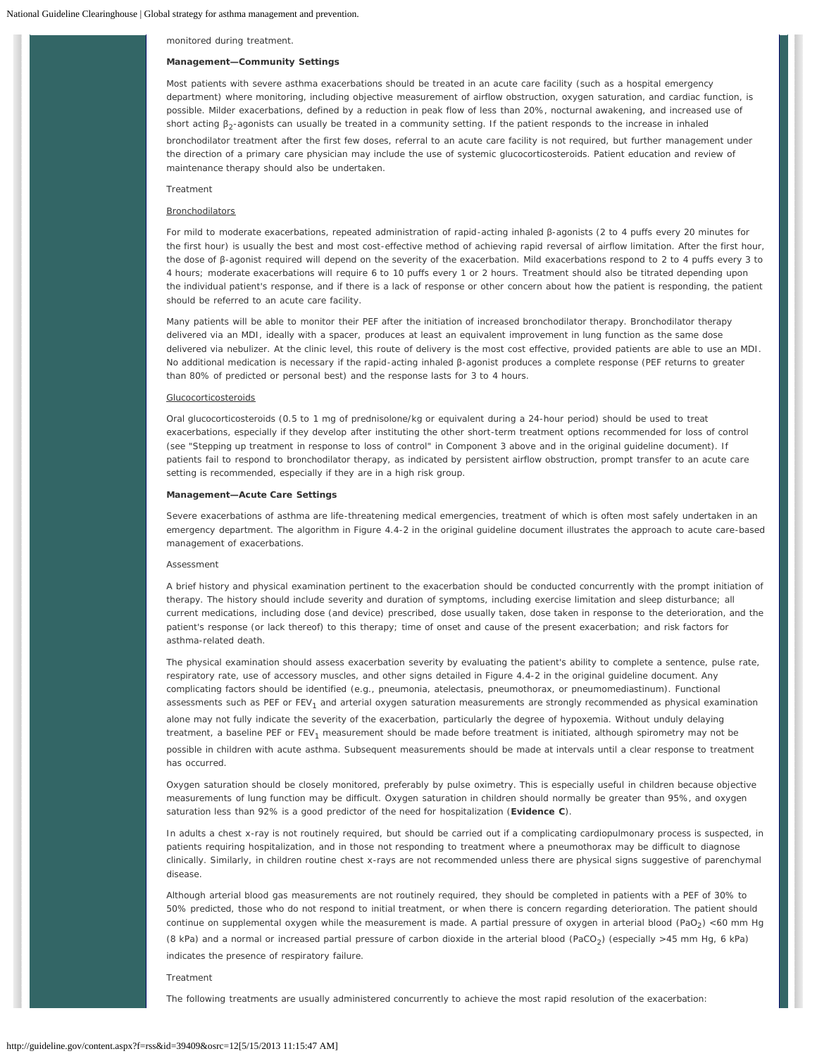monitored during treatment.

# **Management—Community Settings**

Most patients with severe asthma exacerbations should be treated in an acute care facility (such as a hospital emergency department) where monitoring, including objective measurement of airflow obstruction, oxygen saturation, and cardiac function, is possible. Milder exacerbations, defined by a reduction in peak flow of less than 20%, nocturnal awakening, and increased use of short acting β<sub>2</sub>-agonists can usually be treated in a community setting. If the patient responds to the increase in inhaled bronchodilator treatment after the first few doses, referral to an acute care facility is not required, but further management under the direction of a primary care physician may include the use of systemic glucocorticosteroids. Patient education and review of maintenance therapy should also be undertaken.

### *Treatment*

# **Bronchodilators**

For mild to moderate exacerbations, repeated administration of rapid-acting inhaled β-agonists (2 to 4 puffs every 20 minutes for the first hour) is usually the best and most cost-effective method of achieving rapid reversal of airflow limitation. After the first hour, the dose of β-agonist required will depend on the severity of the exacerbation. Mild exacerbations respond to 2 to 4 puffs every 3 to 4 hours; moderate exacerbations will require 6 to 10 puffs every 1 or 2 hours. Treatment should also be titrated depending upon the individual patient's response, and if there is a lack of response or other concern about how the patient is responding, the patient should be referred to an acute care facility.

Many patients will be able to monitor their PEF after the initiation of increased bronchodilator therapy. Bronchodilator therapy delivered via an MDI, ideally with a spacer, produces at least an equivalent improvement in lung function as the same dose delivered via nebulizer. At the clinic level, this route of delivery is the most cost effective, provided patients are able to use an MDI. No additional medication is necessary if the rapid-acting inhaled β-agonist produces a complete response (PEF returns to greater than 80% of predicted or personal best) and the response lasts for 3 to 4 hours.

## Glucocorticosteroids

Oral glucocorticosteroids (0.5 to 1 mg of prednisolone/kg or equivalent during a 24-hour period) should be used to treat exacerbations, especially if they develop after instituting the other short-term treatment options recommended for loss of control (see "Stepping up treatment in response to loss of control" in Component 3 above and in the original guideline document). If patients fail to respond to bronchodilator therapy, as indicated by persistent airflow obstruction, prompt transfer to an acute care setting is recommended, especially if they are in a high risk group.

#### **Management—Acute Care Settings**

Severe exacerbations of asthma are life-threatening medical emergencies, treatment of which is often most safely undertaken in an emergency department. The algorithm in Figure 4.4-2 in the original guideline document illustrates the approach to acute care-based management of exacerbations.

#### *Assessment*

A brief history and physical examination pertinent to the exacerbation should be conducted concurrently with the prompt initiation of therapy. The history should include severity and duration of symptoms, including exercise limitation and sleep disturbance; all current medications, including dose (and device) prescribed, dose usually taken, dose taken in response to the deterioration, and the patient's response (or lack thereof) to this therapy; time of onset and cause of the present exacerbation; and risk factors for asthma-related death.

The physical examination should assess exacerbation severity by evaluating the patient's ability to complete a sentence, pulse rate, respiratory rate, use of accessory muscles, and other signs detailed in Figure 4.4-2 in the original guideline document. Any complicating factors should be identified (e.g., pneumonia, atelectasis, pneumothorax, or pneumomediastinum). Functional assessments such as PEF or FEV<sub>1</sub> and arterial oxygen saturation measurements are strongly recommended as physical examination alone may not fully indicate the severity of the exacerbation, particularly the degree of hypoxemia. Without unduly delaying treatment, a baseline PEF or FEV<sub>1</sub> measurement should be made before treatment is initiated, although spirometry may not be possible in children with acute asthma. Subsequent measurements should be made at intervals until a clear response to treatment has occurred.

Oxygen saturation should be closely monitored, preferably by pulse oximetry. This is especially useful in children because objective measurements of lung function may be difficult. Oxygen saturation in children should normally be greater than 95%, and oxygen saturation less than 92% is a good predictor of the need for hospitalization (**Evidence C**).

In adults a chest x-ray is not routinely required, but should be carried out if a complicating cardiopulmonary process is suspected, in patients requiring hospitalization, and in those not responding to treatment where a pneumothorax may be difficult to diagnose clinically. Similarly, in children routine chest x-rays are not recommended unless there are physical signs suggestive of parenchymal disease.

Although arterial blood gas measurements are not routinely required, they should be completed in patients with a PEF of 30% to 50% predicted, those who do not respond to initial treatment, or when there is concern regarding deterioration. The patient should continue on supplemental oxygen while the measurement is made. A partial pressure of oxygen in arterial blood (PaO<sub>2</sub>) <60 mm Hg (8 kPa) and a normal or increased partial pressure of carbon dioxide in the arterial blood (PaCO<sub>2</sub>) (especially >45 mm Hg, 6 kPa) indicates the presence of respiratory failure.

*Treatment*

The following treatments are usually administered concurrently to achieve the most rapid resolution of the exacerbation: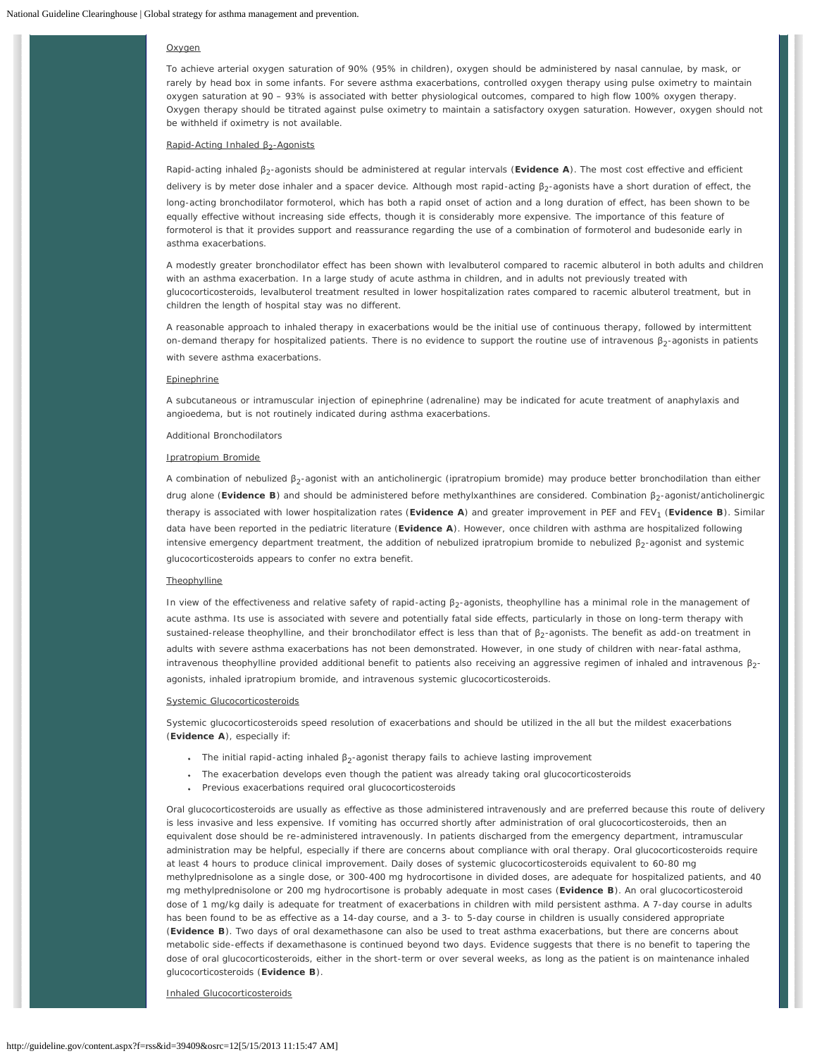### **Oxygen**

To achieve arterial oxygen saturation of 90% (95% in children), oxygen should be administered by nasal cannulae, by mask, or rarely by head box in some infants. For severe asthma exacerbations, controlled oxygen therapy using pulse oximetry to maintain oxygen saturation at 90 – 93% is associated with better physiological outcomes, compared to high flow 100% oxygen therapy. Oxygen therapy should be titrated against pulse oximetry to maintain a satisfactory oxygen saturation. However, oxygen should not be withheld if oximetry is not available.

## Rapid-Acting Inhaled β<sub>2</sub>-Agonists

Rapid-acting inhaled β2-agonists should be administered at regular intervals (**Evidence A**). The most cost effective and efficient delivery is by meter dose inhaler and a spacer device. Although most rapid-acting β<sub>2</sub>-agonists have a short duration of effect, the long-acting bronchodilator formoterol, which has both a rapid onset of action and a long duration of effect, has been shown to be equally effective without increasing side effects, though it is considerably more expensive. The importance of this feature of formoterol is that it provides support and reassurance regarding the use of a combination of formoterol and budesonide early in asthma exacerbations.

A modestly greater bronchodilator effect has been shown with levalbuterol compared to racemic albuterol in both adults and children with an asthma exacerbation. In a large study of acute asthma in children, and in adults not previously treated with glucocorticosteroids, levalbuterol treatment resulted in lower hospitalization rates compared to racemic albuterol treatment, but in children the length of hospital stay was no different.

A reasonable approach to inhaled therapy in exacerbations would be the initial use of continuous therapy, followed by intermittent on-demand therapy for hospitalized patients. There is no evidence to support the routine use of intravenous  $\beta_2$ -agonists in patients with severe asthma exacerbations.

# Epinephrine

A subcutaneous or intramuscular injection of epinephrine (adrenaline) may be indicated for acute treatment of anaphylaxis and angioedema, but is not routinely indicated during asthma exacerbations.

#### *Additional Bronchodilators*

### Ipratropium Bromide

A combination of nebulized β<sub>2</sub>-agonist with an anticholinergic (ipratropium bromide) may produce better bronchodilation than either drug alone (Evidence B) and should be administered before methylxanthines are considered. Combination β<sub>2</sub>-agonist/anticholinergic therapy is associated with lower hospitalization rates (Evidence A) and greater improvement in PEF and FEV<sub>1</sub> (Evidence B). Similar data have been reported in the pediatric literature (**Evidence A**). However, once children with asthma are hospitalized following intensive emergency department treatment, the addition of nebulized ipratropium bromide to nebulized  $\beta_2$ -agonist and systemic glucocorticosteroids appears to confer no extra benefit.

# **Theophylline**

In view of the effectiveness and relative safety of rapid-acting  $\beta_2$ -agonists, theophylline has a minimal role in the management of acute asthma. Its use is associated with severe and potentially fatal side effects, particularly in those on long-term therapy with sustained-release theophylline, and their bronchodilator effect is less than that of β2-agonists. The benefit as add-on treatment in adults with severe asthma exacerbations has not been demonstrated. However, in one study of children with near-fatal asthma, intravenous theophylline provided additional benefit to patients also receiving an aggressive regimen of inhaled and intravenous  $\beta_2$ agonists, inhaled ipratropium bromide, and intravenous systemic glucocorticosteroids.

#### Systemic Glucocorticosteroids

Systemic glucocorticosteroids speed resolution of exacerbations and should be utilized in the all but the mildest exacerbations (**Evidence A**), especially if:

- The initial rapid-acting inhaled  $β_2$ -agonist therapy fails to achieve lasting improvement
- The exacerbation develops even though the patient was already taking oral glucocorticosteroids
- Previous exacerbations required oral glucocorticosteroids

Oral glucocorticosteroids are usually as effective as those administered intravenously and are preferred because this route of delivery is less invasive and less expensive. If vomiting has occurred shortly after administration of oral glucocorticosteroids, then an equivalent dose should be re-administered intravenously. In patients discharged from the emergency department, intramuscular administration may be helpful, especially if there are concerns about compliance with oral therapy. Oral glucocorticosteroids require at least 4 hours to produce clinical improvement. Daily doses of systemic glucocorticosteroids equivalent to 60-80 mg methylprednisolone as a single dose, or 300-400 mg hydrocortisone in divided doses, are adequate for hospitalized patients, and 40 mg methylprednisolone or 200 mg hydrocortisone is probably adequate in most cases (**Evidence B**). An oral glucocorticosteroid dose of 1 mg/kg daily is adequate for treatment of exacerbations in children with mild persistent asthma. A 7-day course in adults has been found to be as effective as a 14-day course, and a 3- to 5-day course in children is usually considered appropriate (**Evidence B**). Two days of oral dexamethasone can also be used to treat asthma exacerbations, but there are concerns about metabolic side-effects if dexamethasone is continued beyond two days. Evidence suggests that there is no benefit to tapering the dose of oral glucocorticosteroids, either in the short-term or over several weeks, as long as the patient is on maintenance inhaled glucocorticosteroids (**Evidence B**).

Inhaled Glucocorticosteroids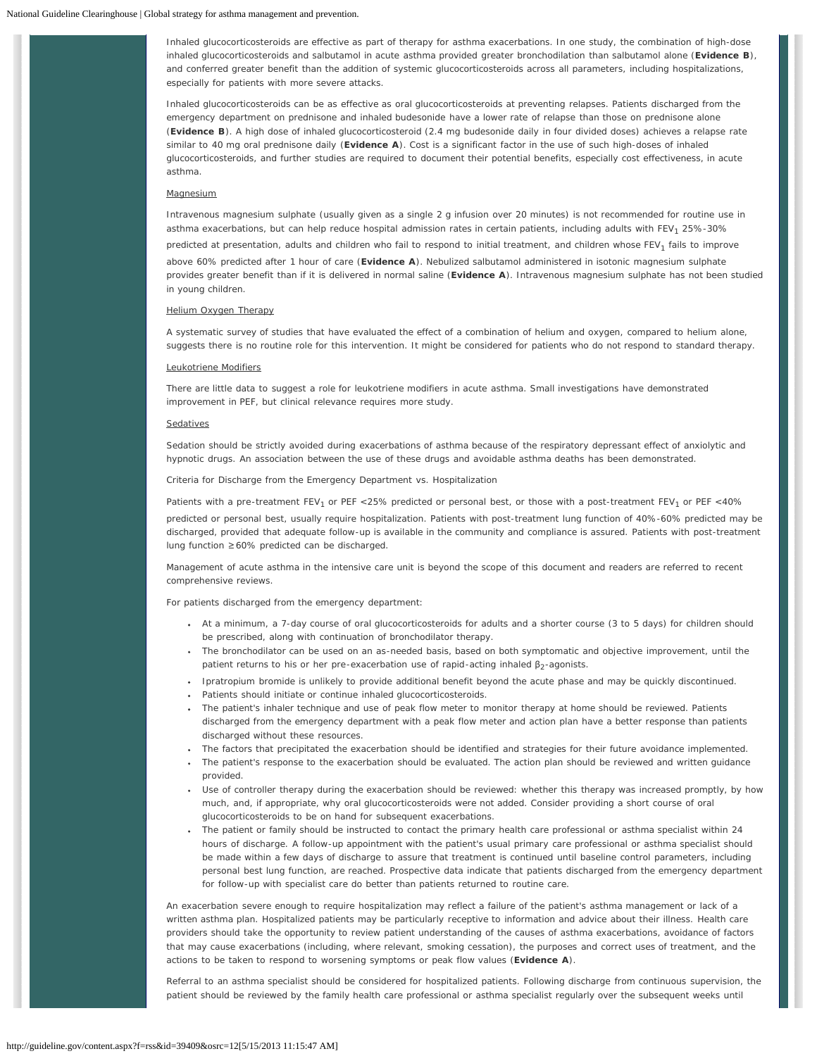Inhaled glucocorticosteroids are effective as part of therapy for asthma exacerbations. In one study, the combination of high-dose inhaled glucocorticosteroids and salbutamol in acute asthma provided greater bronchodilation than salbutamol alone (**Evidence B**), and conferred greater benefit than the addition of systemic glucocorticosteroids across all parameters, including hospitalizations, especially for patients with more severe attacks.

Inhaled glucocorticosteroids can be as effective as oral glucocorticosteroids at preventing relapses. Patients discharged from the emergency department on prednisone and inhaled budesonide have a lower rate of relapse than those on prednisone alone (**Evidence B**). A high dose of inhaled glucocorticosteroid (2.4 mg budesonide daily in four divided doses) achieves a relapse rate similar to 40 mg oral prednisone daily (**Evidence A**). Cost is a significant factor in the use of such high-doses of inhaled glucocorticosteroids, and further studies are required to document their potential benefits, especially cost effectiveness, in acute asthma.

### **Magnesium**

Intravenous magnesium sulphate (usually given as a single 2 g infusion over 20 minutes) is not recommended for routine use in asthma exacerbations, but can help reduce hospital admission rates in certain patients, including adults with FEV<sub>1</sub> 25%-30% predicted at presentation, adults and children who fail to respond to initial treatment, and children whose FEV<sub>1</sub> fails to improve above 60% predicted after 1 hour of care (**Evidence A**). Nebulized salbutamol administered in isotonic magnesium sulphate provides greater benefit than if it is delivered in normal saline (**Evidence A**). Intravenous magnesium sulphate has not been studied in young children.

### Helium Oxygen Therapy

A systematic survey of studies that have evaluated the effect of a combination of helium and oxygen, compared to helium alone, suggests there is no routine role for this intervention. It might be considered for patients who do not respond to standard therapy.

#### Leukotriene Modifiers

There are little data to suggest a role for leukotriene modifiers in acute asthma. Small investigations have demonstrated improvement in PEF, but clinical relevance requires more study.

### Sedatives

Sedation should be strictly avoided during exacerbations of asthma because of the respiratory depressant effect of anxiolytic and hypnotic drugs. An association between the use of these drugs and avoidable asthma deaths has been demonstrated.

*Criteria for Discharge from the Emergency Department vs. Hospitalization*

Patients with a pre-treatment FEV<sub>1</sub> or PEF <25% predicted or personal best, or those with a post-treatment FEV<sub>1</sub> or PEF <40% predicted or personal best, usually require hospitalization. Patients with post-treatment lung function of 40%-60% predicted may be discharged, provided that adequate follow-up is available in the community and compliance is assured. Patients with post-treatment lung function ≥60% predicted can be discharged.

Management of acute asthma in the intensive care unit is beyond the scope of this document and readers are referred to recent comprehensive reviews.

For patients discharged from the emergency department:

- At a minimum, a 7-day course of oral glucocorticosteroids for adults and a shorter course (3 to 5 days) for children should be prescribed, along with continuation of bronchodilator therapy.
- The bronchodilator can be used on an as-needed basis, based on both symptomatic and objective improvement, until the patient returns to his or her pre-exacerbation use of rapid-acting inhaled  $\beta_2$ -agonists.
- Ipratropium bromide is unlikely to provide additional benefit beyond the acute phase and may be quickly discontinued.
- Patients should initiate or continue inhaled glucocorticosteroids.
- The patient's inhaler technique and use of peak flow meter to monitor therapy at home should be reviewed. Patients discharged from the emergency department with a peak flow meter and action plan have a better response than patients discharged without these resources.
- The factors that precipitated the exacerbation should be identified and strategies for their future avoidance implemented.
- The patient's response to the exacerbation should be evaluated. The action plan should be reviewed and written guidance provided.
- Use of controller therapy during the exacerbation should be reviewed: whether this therapy was increased promptly, by how much, and, if appropriate, why oral glucocorticosteroids were not added. Consider providing a short course of oral glucocorticosteroids to be on hand for subsequent exacerbations.
- The patient or family should be instructed to contact the primary health care professional or asthma specialist within 24 hours of discharge. A follow-up appointment with the patient's usual primary care professional or asthma specialist should be made within a few days of discharge to assure that treatment is continued until baseline control parameters, including personal best lung function, are reached. Prospective data indicate that patients discharged from the emergency department for follow-up with specialist care do better than patients returned to routine care.

An exacerbation severe enough to require hospitalization may reflect a failure of the patient's asthma management or lack of a written asthma plan. Hospitalized patients may be particularly receptive to information and advice about their illness. Health care providers should take the opportunity to review patient understanding of the causes of asthma exacerbations, avoidance of factors that may cause exacerbations (including, where relevant, smoking cessation), the purposes and correct uses of treatment, and the actions to be taken to respond to worsening symptoms or peak flow values (**Evidence A**).

Referral to an asthma specialist should be considered for hospitalized patients. Following discharge from continuous supervision, the patient should be reviewed by the family health care professional or asthma specialist regularly over the subsequent weeks until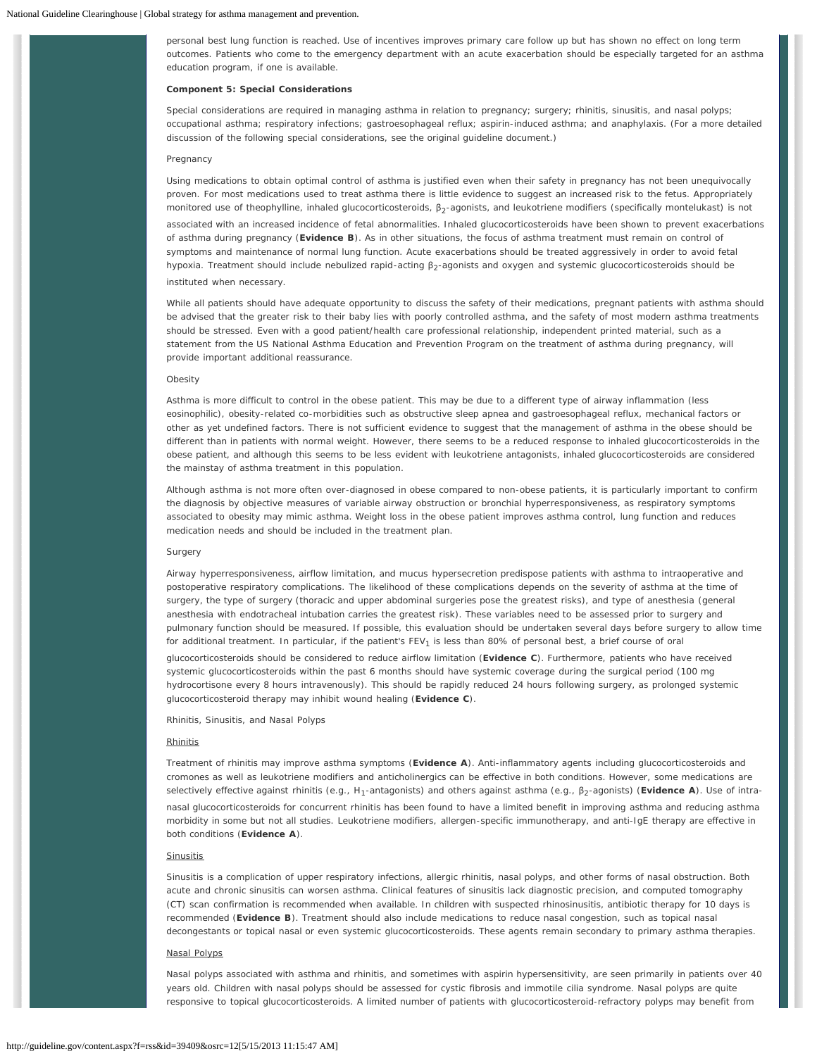personal best lung function is reached. Use of incentives improves primary care follow up but has shown no effect on long term outcomes. Patients who come to the emergency department with an acute exacerbation should be especially targeted for an asthma education program, if one is available.

### **Component 5: Special Considerations**

Special considerations are required in managing asthma in relation to pregnancy; surgery; rhinitis, sinusitis, and nasal polyps; occupational asthma; respiratory infections; gastroesophageal reflux; aspirin-induced asthma; and anaphylaxis. (For a more detailed discussion of the following special considerations, see the original guideline document.)

### *Pregnancy*

Using medications to obtain optimal control of asthma is justified even when their safety in pregnancy has not been unequivocally proven. For most medications used to treat asthma there is little evidence to suggest an increased risk to the fetus. Appropriately monitored use of theophylline, inhaled glucocorticosteroids, β<sub>2</sub>-agonists, and leukotriene modifiers (specifically montelukast) is not associated with an increased incidence of fetal abnormalities. Inhaled glucocorticosteroids have been shown to prevent exacerbations of asthma during pregnancy (**Evidence B**). As in other situations, the focus of asthma treatment must remain on control of symptoms and maintenance of normal lung function. Acute exacerbations should be treated aggressively in order to avoid fetal hypoxia. Treatment should include nebulized rapid-acting  $β_2$ -agonists and oxygen and systemic glucocorticosteroids should be instituted when necessary.

While all patients should have adequate opportunity to discuss the safety of their medications, pregnant patients with asthma should be advised that the greater risk to their baby lies with poorly controlled asthma, and the safety of most modern asthma treatments should be stressed. Even with a good patient/health care professional relationship, independent printed material, such as a statement from the US National Asthma Education and Prevention Program on the treatment of asthma during pregnancy, will provide important additional reassurance.

# *Obesity*

Asthma is more difficult to control in the obese patient. This may be due to a different type of airway inflammation (less eosinophilic), obesity-related co-morbidities such as obstructive sleep apnea and gastroesophageal reflux, mechanical factors or other as yet undefined factors. There is not sufficient evidence to suggest that the management of asthma in the obese should be different than in patients with normal weight. However, there seems to be a reduced response to inhaled glucocorticosteroids in the obese patient, and although this seems to be less evident with leukotriene antagonists, inhaled glucocorticosteroids are considered the mainstay of asthma treatment in this population.

Although asthma is not more often over-diagnosed in obese compared to non-obese patients, it is particularly important to confirm the diagnosis by objective measures of variable airway obstruction or bronchial hyperresponsiveness, as respiratory symptoms associated to obesity may mimic asthma. Weight loss in the obese patient improves asthma control, lung function and reduces medication needs and should be included in the treatment plan.

#### *Surgery*

Airway hyperresponsiveness, airflow limitation, and mucus hypersecretion predispose patients with asthma to intraoperative and postoperative respiratory complications. The likelihood of these complications depends on the severity of asthma at the time of surgery, the type of surgery (thoracic and upper abdominal surgeries pose the greatest risks), and type of anesthesia (general anesthesia with endotracheal intubation carries the greatest risk). These variables need to be assessed prior to surgery and pulmonary function should be measured. If possible, this evaluation should be undertaken several days before surgery to allow time for additional treatment. In particular, if the patient's FEV<sub>1</sub> is less than 80% of personal best, a brief course of oral glucocorticosteroids should be considered to reduce airflow limitation (**Evidence C**). Furthermore, patients who have received systemic glucocorticosteroids within the past 6 months should have systemic coverage during the surgical period (100 mg hydrocortisone every 8 hours intravenously). This should be rapidly reduced 24 hours following surgery, as prolonged systemic glucocorticosteroid therapy may inhibit wound healing (**Evidence C**).

*Rhinitis, Sinusitis, and Nasal Polyps*

### **Rhinitis**

Treatment of rhinitis may improve asthma symptoms (**Evidence A**). Anti-inflammatory agents including glucocorticosteroids and cromones as well as leukotriene modifiers and anticholinergics can be effective in both conditions. However, some medications are selectively effective against rhinitis (e.g., H<sub>1</sub>-antagonists) and others against asthma (e.g., β<sub>2</sub>-agonists) (**Evidence A**). Use of intranasal glucocorticosteroids for concurrent rhinitis has been found to have a limited benefit in improving asthma and reducing asthma morbidity in some but not all studies. Leukotriene modifiers, allergen-specific immunotherapy, and anti-IgE therapy are effective in both conditions (**Evidence A**).

# **Sinusitis**

Sinusitis is a complication of upper respiratory infections, allergic rhinitis, nasal polyps, and other forms of nasal obstruction. Both acute and chronic sinusitis can worsen asthma. Clinical features of sinusitis lack diagnostic precision, and computed tomography (CT) scan confirmation is recommended when available. In children with suspected rhinosinusitis, antibiotic therapy for 10 days is recommended (**Evidence B**). Treatment should also include medications to reduce nasal congestion, such as topical nasal decongestants or topical nasal or even systemic glucocorticosteroids. These agents remain secondary to primary asthma therapies.

# Nasal Polyps

Nasal polyps associated with asthma and rhinitis, and sometimes with aspirin hypersensitivity, are seen primarily in patients over 40 years old. Children with nasal polyps should be assessed for cystic fibrosis and immotile cilia syndrome. Nasal polyps are quite responsive to topical glucocorticosteroids. A limited number of patients with glucocorticosteroid-refractory polyps may benefit from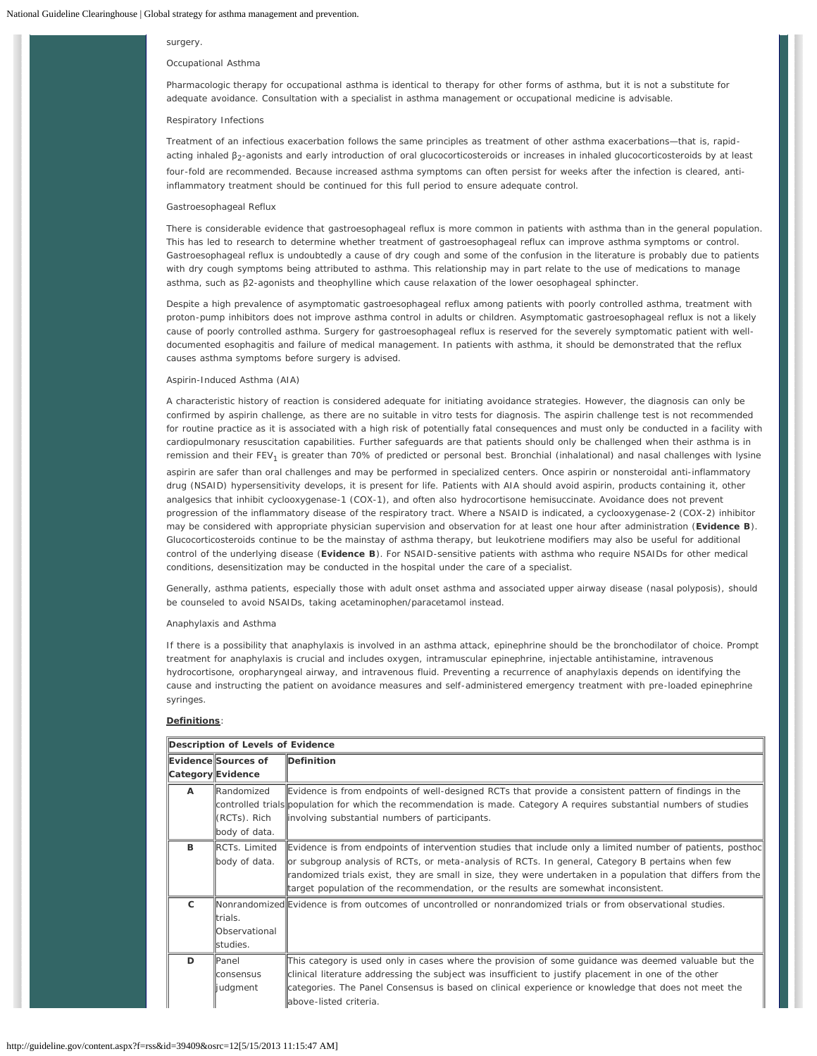### surgery.

## *Occupational Asthma*

Pharmacologic therapy for occupational asthma is identical to therapy for other forms of asthma, but it is not a substitute for adequate avoidance. Consultation with a specialist in asthma management or occupational medicine is advisable.

### *Respiratory Infections*

Treatment of an infectious exacerbation follows the same principles as treatment of other asthma exacerbations—that is, rapidacting inhaled β<sub>2</sub>-agonists and early introduction of oral glucocorticosteroids or increases in inhaled glucocorticosteroids by at least four-fold are recommended. Because increased asthma symptoms can often persist for weeks after the infection is cleared, antiinflammatory treatment should be continued for this full period to ensure adequate control.

## *Gastroesophageal Reflux*

There is considerable evidence that gastroesophageal reflux is more common in patients with asthma than in the general population. This has led to research to determine whether treatment of gastroesophageal reflux can improve asthma symptoms or control. Gastroesophageal reflux is undoubtedly a cause of dry cough and some of the confusion in the literature is probably due to patients with dry cough symptoms being attributed to asthma. This relationship may in part relate to the use of medications to manage asthma, such as β2-agonists and theophylline which cause relaxation of the lower oesophageal sphincter.

Despite a high prevalence of asymptomatic gastroesophageal reflux among patients with poorly controlled asthma, treatment with proton-pump inhibitors does not improve asthma control in adults or children. Asymptomatic gastroesophageal reflux is not a likely cause of poorly controlled asthma. Surgery for gastroesophageal reflux is reserved for the severely symptomatic patient with welldocumented esophagitis and failure of medical management. In patients with asthma, it should be demonstrated that the reflux causes asthma symptoms before surgery is advised.

# *Aspirin-Induced Asthma (AIA)*

A characteristic history of reaction is considered adequate for initiating avoidance strategies. However, the diagnosis can only be confirmed by aspirin challenge, as there are no suitable in vitro tests for diagnosis. The aspirin challenge test is not recommended for routine practice as it is associated with a high risk of potentially fatal consequences and must only be conducted in a facility with cardiopulmonary resuscitation capabilities. Further safeguards are that patients should only be challenged when their asthma is in remission and their FEV<sub>1</sub> is greater than 70% of predicted or personal best. Bronchial (inhalational) and nasal challenges with lysine

aspirin are safer than oral challenges and may be performed in specialized centers. Once aspirin or nonsteroidal anti-inflammatory drug (NSAID) hypersensitivity develops, it is present for life. Patients with AIA should avoid aspirin, products containing it, other analgesics that inhibit cyclooxygenase-1 (COX-1), and often also hydrocortisone hemisuccinate. Avoidance does not prevent progression of the inflammatory disease of the respiratory tract. Where a NSAID is indicated, a cyclooxygenase-2 (COX-2) inhibitor may be considered with appropriate physician supervision and observation for at least one hour after administration (**Evidence B**). Glucocorticosteroids continue to be the mainstay of asthma therapy, but leukotriene modifiers may also be useful for additional control of the underlying disease (**Evidence B**). For NSAID-sensitive patients with asthma who require NSAIDs for other medical conditions, desensitization may be conducted in the hospital under the care of a specialist.

Generally, asthma patients, especially those with adult onset asthma and associated upper airway disease (nasal polyposis), should be counseled to avoid NSAIDs, taking acetaminophen/paracetamol instead.

### *Anaphylaxis and Asthma*

If there is a possibility that anaphylaxis is involved in an asthma attack, epinephrine should be the bronchodilator of choice. Prompt treatment for anaphylaxis is crucial and includes oxygen, intramuscular epinephrine, injectable antihistamine, intravenous hydrocortisone, oropharyngeal airway, and intravenous fluid. Preventing a recurrence of anaphylaxis depends on identifying the cause and instructing the patient on avoidance measures and self-administered emergency treatment with pre-loaded epinephrine syringes.

## **Definitions**:

|              | Description of Levels of Evidence |                                                                                                                       |  |  |  |
|--------------|-----------------------------------|-----------------------------------------------------------------------------------------------------------------------|--|--|--|
|              | Evidence Sources of               | Definition                                                                                                            |  |  |  |
|              | Category Evidence                 |                                                                                                                       |  |  |  |
| $\mathsf{A}$ | <b>Randomized</b>                 | Evidence is from endpoints of well-designed RCTs that provide a consistent pattern of findings in the                 |  |  |  |
|              |                                   | controlled trials population for which the recommendation is made. Category A requires substantial numbers of studies |  |  |  |
|              | (RCTs). Rich                      | involving substantial numbers of participants.                                                                        |  |  |  |
|              | body of data.                     |                                                                                                                       |  |  |  |
| в            | <b>RCTs. Limited</b>              | Evidence is from endpoints of intervention studies that include only a limited number of patients, posthoc            |  |  |  |
|              | body of data.                     | or subgroup analysis of RCTs, or meta-analysis of RCTs. In general, Category B pertains when few                      |  |  |  |
|              |                                   | randomized trials exist, they are small in size, they were undertaken in a population that differs from the           |  |  |  |
|              |                                   | target population of the recommendation, or the results are somewhat inconsistent.                                    |  |  |  |
| C            |                                   | Nonrandomized Evidence is from outcomes of uncontrolled or nonrandomized trials or from observational studies.        |  |  |  |
|              | trials.                           |                                                                                                                       |  |  |  |
|              | <b>Observational</b>              |                                                                                                                       |  |  |  |
|              | studies.                          |                                                                                                                       |  |  |  |
| D            | Panel                             | This category is used only in cases where the provision of some guidance was deemed valuable but the                  |  |  |  |
|              | <b>consensus</b>                  | clinical literature addressing the subject was insufficient to justify placement in one of the other                  |  |  |  |
|              | judgment                          | categories. The Panel Consensus is based on clinical experience or knowledge that does not meet the                   |  |  |  |
|              |                                   | above-listed criteria.                                                                                                |  |  |  |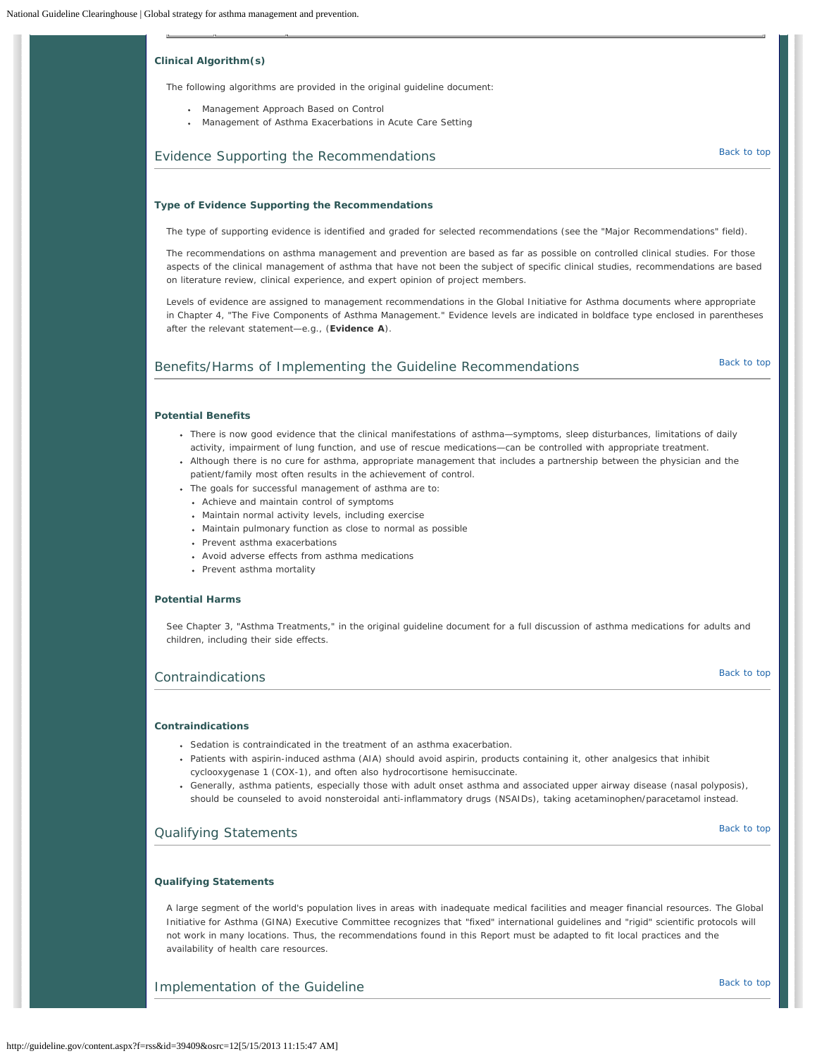# **Clinical Algorithm(s)**

The following algorithms are provided in the original guideline document:

- Management Approach Based on Control
- Management of Asthma Exacerbations in Acute Care Setting

# <span id="page-19-0"></span>Evidence Supporting the Recommendations and the state of the [Back to top](#page-0-1) Back to top

### **Type of Evidence Supporting the Recommendations**

The type of supporting evidence is identified and graded for selected recommendations (see the "Major Recommendations" field).

The recommendations on asthma management and prevention are based as far as possible on controlled clinical studies. For those aspects of the clinical management of asthma that have not been the subject of specific clinical studies, recommendations are based on literature review, clinical experience, and expert opinion of project members.

Levels of evidence are assigned to management recommendations in the Global Initiative for Asthma documents where appropriate in Chapter 4, "The Five Components of Asthma Management." Evidence levels are indicated in boldface type enclosed in parentheses after the relevant statement—e.g., (**Evidence A**).

# <span id="page-19-1"></span>Benefits/Harms of Implementing the Guideline Recommendations **[Back to top](#page-0-1)** Back to top

# **Potential Benefits**

- There is now good evidence that the clinical manifestations of asthma—symptoms, sleep disturbances, limitations of daily activity, impairment of lung function, and use of rescue medications—can be controlled with appropriate treatment.
- Although there is no cure for asthma, appropriate management that includes a partnership between the physician and the patient/family most often results in the achievement of control.
- The goals for successful management of asthma are to:
	- Achieve and maintain control of symptoms
- Maintain normal activity levels, including exercise
- Maintain pulmonary function as close to normal as possible
- Prevent asthma exacerbations
- Avoid adverse effects from asthma medications
- Prevent asthma mortality

# **Potential Harms**

See Chapter 3, "Asthma Treatments," in the original guideline document for a full discussion of asthma medications for adults and children, including their side effects.

# <span id="page-19-2"></span>[Back to top](#page-0-1) Contraindications

# **Contraindications**

- Sedation is contraindicated in the treatment of an asthma exacerbation.
- Patients with aspirin-induced asthma (AIA) should avoid aspirin, products containing it, other analgesics that inhibit cyclooxygenase 1 (COX-1), and often also hydrocortisone hemisuccinate.
- Generally, asthma patients, especially those with adult onset asthma and associated upper airway disease (nasal polyposis), should be counseled to avoid nonsteroidal anti-inflammatory drugs (NSAIDs), taking acetaminophen/paracetamol instead.

# <span id="page-19-3"></span>**Qualifying Statements [Back to top](#page-0-1) Contract to the Contract of the Contract of the Contract of the Contract of the Contract of the Contract of the Contract of the Contract of the Contract of the Contract of the Contract**

# **Qualifying Statements**

A large segment of the world's population lives in areas with inadequate medical facilities and meager financial resources. The Global Initiative for Asthma (GINA) Executive Committee recognizes that "fixed" international guidelines and "rigid" scientific protocols will not work in many locations. Thus, the recommendations found in this Report must be adapted to fit local practices and the availability of health care resources.

<span id="page-19-4"></span>Implementation of the Guideline and the internal control of the Guideline and the Implementation of the Guideline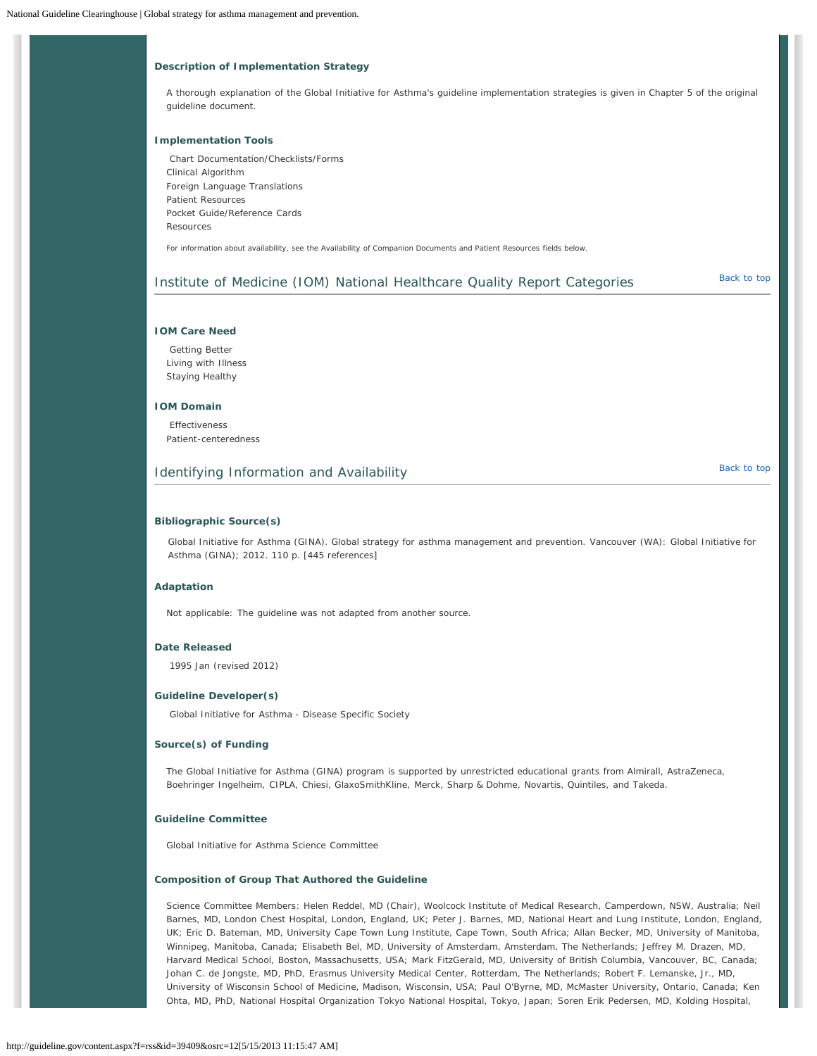# **Description of Implementation Strategy**

A thorough explanation of the Global Initiative for Asthma's guideline implementation strategies is given in Chapter 5 of the original guideline document.

# **Implementation Tools**

Chart Documentation/Checklists/Forms Clinical Algorithm Foreign Language Translations Patient Resources Pocket Guide/Reference Cards Resources

For information about availability, see the *Availability of Companion Documents* and *Patient Resources* fields below.

# <span id="page-20-0"></span>Institute of Medicine (IOM) National Healthcare Quality Report Categories [Back to top](#page-0-1)

# **IOM Care Need**

Getting Better Living with Illness Staying Healthy

# **IOM Domain**

Effectiveness Patient-centeredness

# <span id="page-20-1"></span>Identifying Information and Availability and the state of the [Back to top](#page-0-1) Back to top

# **Bibliographic Source(s)**

Global Initiative for Asthma (GINA). Global strategy for asthma management and prevention. Vancouver (WA): Global Initiative for Asthma (GINA); 2012. 110 p. [445 references]

## **Adaptation**

Not applicable: The guideline was not adapted from another source.

# **Date Released**

1995 Jan (revised 2012)

# **Guideline Developer(s)**

Global Initiative for Asthma - Disease Specific Society

# **Source(s) of Funding**

The Global Initiative for Asthma (GINA) program is supported by unrestricted educational grants from Almirall, AstraZeneca, Boehringer Ingelheim, CIPLA, Chiesi, GlaxoSmithKline, Merck, Sharp & Dohme, Novartis, Quintiles, and Takeda.

# **Guideline Committee**

Global Initiative for Asthma Science Committee

# **Composition of Group That Authored the Guideline**

*Science Committee Members*: Helen Reddel, MD (*Chair*), Woolcock Institute of Medical Research, Camperdown, NSW, Australia; Neil Barnes, MD, London Chest Hospital, London, England, UK; Peter J. Barnes, MD, National Heart and Lung Institute, London, England, UK; Eric D. Bateman, MD, University Cape Town Lung Institute, Cape Town, South Africa; Allan Becker, MD, University of Manitoba, Winnipeg, Manitoba, Canada; Elisabeth Bel, MD, University of Amsterdam, Amsterdam, The Netherlands; Jeffrey M. Drazen, MD, Harvard Medical School, Boston, Massachusetts, USA; Mark FitzGerald, MD, University of British Columbia, Vancouver, BC, Canada; Johan C. de Jongste, MD, PhD, Erasmus University Medical Center, Rotterdam, The Netherlands; Robert F. Lemanske, Jr., MD, University of Wisconsin School of Medicine, Madison, Wisconsin, USA; Paul O'Byrne, MD, McMaster University, Ontario, Canada; Ken Ohta, MD, PhD, National Hospital Organization Tokyo National Hospital, Tokyo, Japan; Soren Erik Pedersen, MD, Kolding Hospital,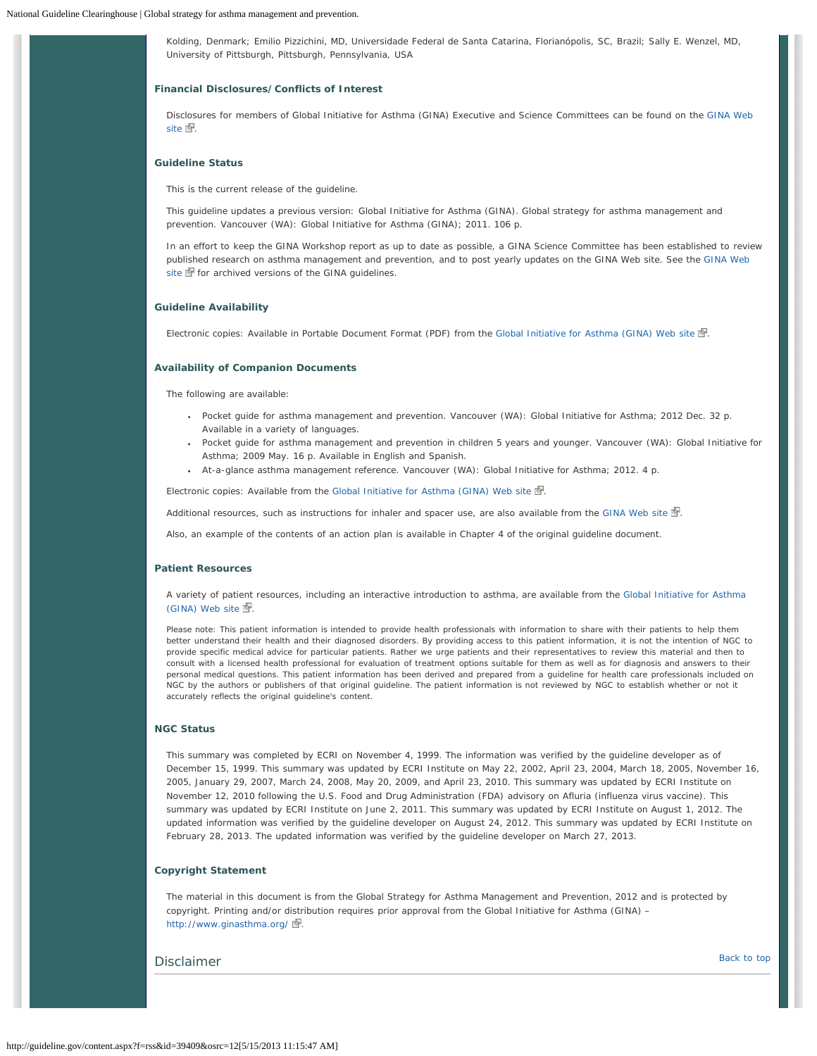Kolding, Denmark; Emilio Pizzichini, MD, Universidade Federal de Santa Catarina, Florianópolis, SC, Brazil; Sally E. Wenzel, MD, University of Pittsburgh, Pittsburgh, Pennsylvania, USA

# **Financial Disclosures/Conflicts of Interest**

Disclosures for members of Global Initiative for Asthma (GINA) Executive and Science Committees can be found on the [GINA Web](http://guideline.gov/disclaimer.aspx?redirect=http://www.ginasthma.org/disclosure-statements.html) [site](http://guideline.gov/disclaimer.aspx?redirect=http://www.ginasthma.org/disclosure-statements.html)  $\mathbb{Z}$ .

# **Guideline Status**

This is the current release of the guideline.

This guideline updates a previous version: Global Initiative for Asthma (GINA). Global strategy for asthma management and prevention. Vancouver (WA): Global Initiative for Asthma (GINA); 2011. 106 p.

In an effort to keep the GINA Workshop report as up to date as possible, a GINA Science Committee has been established to review published research on asthma management and prevention, and to post yearly updates on the GINA Web site. See the [GINA Web](http://guideline.gov/disclaimer.aspx?redirect=http://www.ginasthma.org/) [site](http://guideline.gov/disclaimer.aspx?redirect=http://www.ginasthma.org/)  $\mathbb{F}$  for archived versions of the GINA guidelines.

### **Guideline Availability**

Electronic copies: Available in Portable Document Format (PDF) from the [Global Initiative for Asthma \(GINA\) Web site](http://guideline.gov/disclaimer.aspx?redirect=http://www.ginasthma.org/)  $\mathbb{F}$ .

### **Availability of Companion Documents**

The following are available:

- Pocket guide for asthma management and prevention. Vancouver (WA): Global Initiative for Asthma; 2012 Dec. 32 p. Available in a variety of languages.
- Pocket guide for asthma management and prevention in children 5 years and younger. Vancouver (WA): Global Initiative for Asthma; 2009 May. 16 p. Available in English and Spanish.
- At-a-glance asthma management reference. Vancouver (WA): Global Initiative for Asthma; 2012. 4 p.

Electronic copies: Available from the [Global Initiative for Asthma \(GINA\) Web site](http://guideline.gov/disclaimer.aspx?redirect=http://www.ginasthma.org/)  $\mathbb{Z}$ .

Additional resources, such as instructions for inhaler and spacer use, are also available from the [GINA Web site](http://guideline.gov/disclaimer.aspx?redirect=http://www.ginasthma.org/)  $\mathbb{F}$ .

Also, an example of the contents of an action plan is available in Chapter 4 of the original guideline document.

## **Patient Resources**

A variety of patient resources, including an interactive introduction to asthma, are available from the [Global Initiative for Asthma](http://guideline.gov/disclaimer.aspx?redirect=http://www.ginasthma.org/Patients)  $(GINA)$  Web site  $\mathbb{Z}$ .

Please note: This patient information is intended to provide health professionals with information to share with their patients to help them better understand their health and their diagnosed disorders. By providing access to this patient information, it is not the intention of NGC to provide specific medical advice for particular patients. Rather we urge patients and their representatives to review this material and then to consult with a licensed health professional for evaluation of treatment options suitable for them as well as for diagnosis and answers to their personal medical questions. This patient information has been derived and prepared from a guideline for health care professionals included on NGC by the authors or publishers of that original guideline. The patient information is not reviewed by NGC to establish whether or not it accurately reflects the original guideline's content.

# **NGC Status**

This summary was completed by ECRI on November 4, 1999. The information was verified by the guideline developer as of December 15, 1999. This summary was updated by ECRI Institute on May 22, 2002, April 23, 2004, March 18, 2005, November 16, 2005, January 29, 2007, March 24, 2008, May 20, 2009, and April 23, 2010. This summary was updated by ECRI Institute on November 12, 2010 following the U.S. Food and Drug Administration (FDA) advisory on Afluria (influenza virus vaccine). This summary was updated by ECRI Institute on June 2, 2011. This summary was updated by ECRI Institute on August 1, 2012. The updated information was verified by the guideline developer on August 24, 2012. This summary was updated by ECRI Institute on February 28, 2013. The updated information was verified by the guideline developer on March 27, 2013.

## **Copyright Statement**

The material in this document is from the Global Strategy for Asthma Management and Prevention, 2012 and is protected by copyright. Printing and/or distribution requires prior approval from the Global Initiative for Asthma (GINA) – [http://www.ginasthma.org/](http://guideline.gov/disclaimer.aspx?redirect=http://www.ginasthma.org/) ...

# <span id="page-21-0"></span>**Disclaimer** [Back to top](#page-0-1) Back to top Back to top Back to top Back to top Back to top Back to top Back to top Back to top Back to top Back to top Back to top Back to top Back to top Back to top Back to top Back to top Back